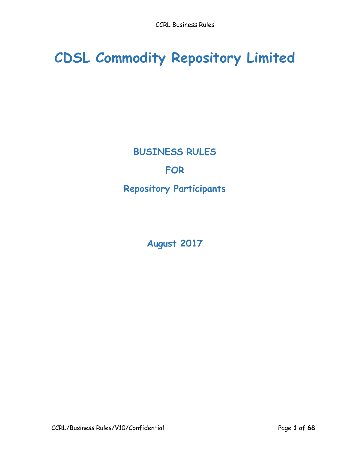# **CDSL Commodity Repository Limited**

**BUSINESS RULES FOR Repository Participants**

**August 2017**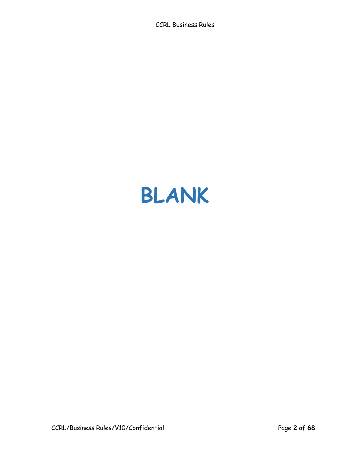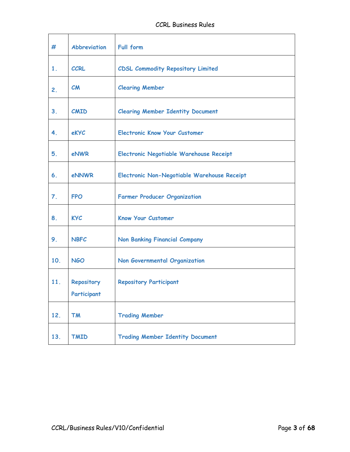CCRL Business Rules

| #              | <b>Abbreviation</b>       | <b>Full form</b>                            |
|----------------|---------------------------|---------------------------------------------|
| 1 <sub>1</sub> | <b>CCRL</b>               | <b>CDSL Commodity Repository Limited</b>    |
| 2.             | CM                        | <b>Clearing Member</b>                      |
| 3 <sub>1</sub> | <b>CMID</b>               | <b>Clearing Member Identity Document</b>    |
| 4.             | eKYC                      | <b>Electronic Know Your Customer</b>        |
| 5.             | <b>eNWR</b>               | Electronic Negotiable Warehouse Receipt     |
| 6.             | <b>eNNWR</b>              | Electronic Non-Negotiable Warehouse Receipt |
| 7.             | <b>FPO</b>                | <b>Farmer Producer Organization</b>         |
| 8.             | <b>KYC</b>                | <b>Know Your Customer</b>                   |
| 9.             | <b>NBFC</b>               | <b>Non Banking Financial Company</b>        |
| 10.            | <b>NGO</b>                | Non Governmental Organization               |
| 11.            | Repository<br>Participant | <b>Repository Participant</b>               |
| 12.            | <b>TM</b>                 | <b>Trading Member</b>                       |
| 13.            | <b>TMID</b>               | <b>Trading Member Identity Document</b>     |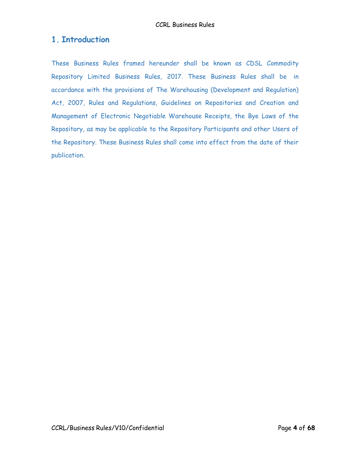# **1. Introduction**

These Business Rules framed hereunder shall be known as CDSL Commodity Repository Limited Business Rules, 2017. These Business Rules shall be in accordance with the provisions of The Warehousing (Development and Regulation) Act, 2007, Rules and Regulations, Guidelines on Repositories and Creation and Management of Electronic Negotiable Warehouse Receipts, the Bye Laws of the Repository, as may be applicable to the Repository Participants and other Users of the Repository. These Business Rules shall come into effect from the date of their publication.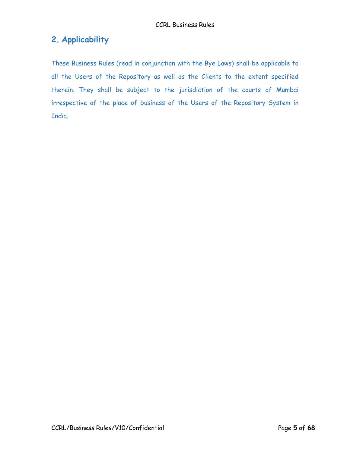# **2. Applicability**

These Business Rules (read in conjunction with the Bye Laws) shall be applicable to all the Users of the Repository as well as the Clients to the extent specified therein. They shall be subject to the jurisdiction of the courts of Mumbai irrespective of the place of business of the Users of the Repository System in India.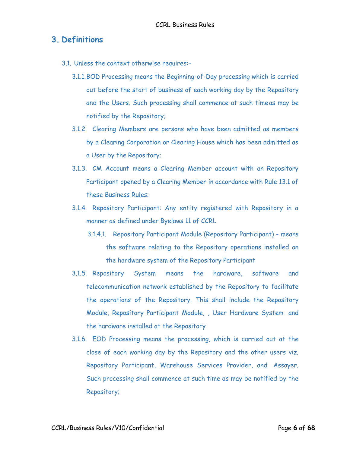# **3. Definitions**

- 3.1. Unless the context otherwise requires:-
	- 3.1.1.BOD Processing means the Beginning-of-Day processing which is carried out before the start of business of each working day by the Repository and the Users. Such processing shall commence at such timeas may be notified by the Repository;
	- 3.1.2. Clearing Members are persons who have been admitted as members by a Clearing Corporation or Clearing House which has been admitted as a User by the Repository;
	- 3.1.3. CM Account means a Clearing Member account with an Repository Participant opened by a Clearing Member in accordance with Rule 13.1 of these Business Rules;
	- 3.1.4. Repository Participant: Any entity registered with Repository in a manner as defined under Byelaws 11 of CCRL.
		- 3.1.4.1. Repository Participant Module (Repository Participant) means the software relating to the Repository operations installed on the hardware system of the Repository Participant
	- 3.1.5. Repository System means the hardware, software and telecommunication network established by the Repository to facilitate the operations of the Repository. This shall include the Repository Module, Repository Participant Module, , User Hardware System and the hardware installed at the Repository
	- 3.1.6. EOD Processing means the processing, which is carried out at the close of each working day by the Repository and the other users viz. Repository Participant, Warehouse Services Provider, and Assayer. Such processing shall commence at such time as may be notified by the Repository;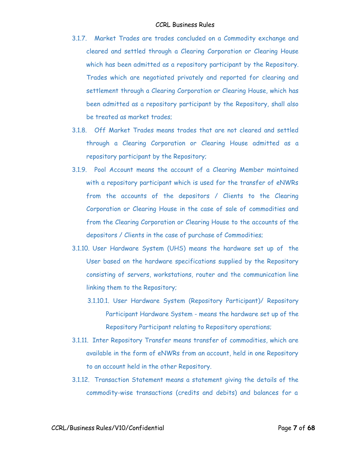- 3.1.7. Market Trades are trades concluded on a Commodity exchange and cleared and settled through a Clearing Corporation or Clearing House which has been admitted as a repository participant by the Repository. Trades which are negotiated privately and reported for clearing and settlement through a Clearing Corporation or Clearing House, which has been admitted as a repository participant by the Repository, shall also be treated as market trades;
- 3.1.8. Off Market Trades means trades that are not cleared and settled through a Clearing Corporation or Clearing House admitted as a repository participant by the Repository;
- 3.1.9. Pool Account means the account of a Clearing Member maintained with a repository participant which is used for the transfer of eNWRs from the accounts of the depositors / Clients to the Clearing Corporation or Clearing House in the case of sale of commodities and from the Clearing Corporation or Clearing House to the accounts of the depositors / Clients in the case of purchase of Commodities;
- 3.1.10. User Hardware System (UHS) means the hardware set up of the User based on the hardware specifications supplied by the Repository consisting of servers, workstations, router and the communication line linking them to the Repository;
	- 3.1.10.1. User Hardware System (Repository Participant)/ Repository Participant Hardware System - means the hardware set up of the Repository Participant relating to Repository operations;
- 3.1.11. Inter Repository Transfer means transfer of commodities, which are available in the form of eNWRs from an account, held in one Repository to an account held in the other Repository.
- 3.1.12. Transaction Statement means a statement giving the details of the commodity-wise transactions (credits and debits) and balances for a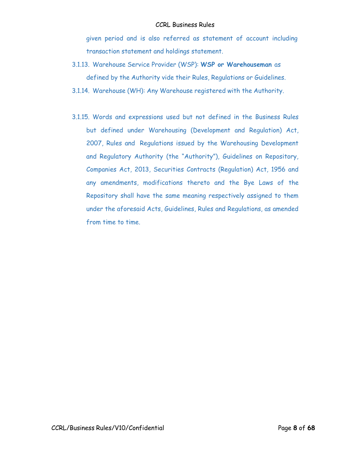given period and is also referred as statement of account including transaction statement and holdings statement.

- 3.1.13. Warehouse Service Provider (WSP): **WSP or Warehouseman** as defined by the Authority vide their Rules, Regulations or Guidelines.
- 3.1.14. Warehouse (WH): Any Warehouse registered with the Authority.
- 3.1.15. Words and expressions used but not defined in the Business Rules but defined under Warehousing (Development and Regulation) Act, 2007, Rules and Regulations issued by the Warehousing Development and Regulatory Authority (the "Authority"), Guidelines on Repository, Companies Act, 2013, Securities Contracts (Regulation) Act, 1956 and any amendments, modifications thereto and the Bye Laws of the Repository shall have the same meaning respectively assigned to them under the aforesaid Acts, Guidelines, Rules and Regulations, as amended from time to time.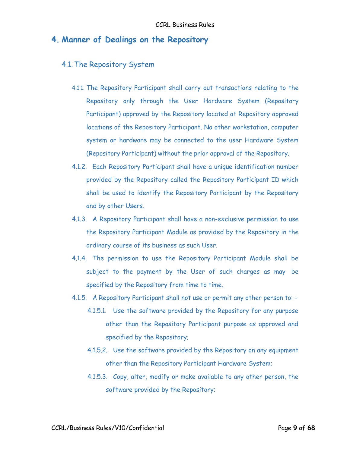## **4. Manner of Dealings on the Repository**

#### 4.1.The Repository System

- 4.1.1. The Repository Participant shall carry out transactions relating to the Repository only through the User Hardware System (Repository Participant) approved by the Repository located at Repository approved locations of the Repository Participant. No other workstation, computer system or hardware may be connected to the user Hardware System (Repository Participant) without the prior approval of the Repository.
- 4.1.2. Each Repository Participant shall have a unique identification number provided by the Repository called the Repository Participant ID which shall be used to identify the Repository Participant by the Repository and by other Users.
- 4.1.3. A Repository Participant shall have a non-exclusive permission to use the Repository Participant Module as provided by the Repository in the ordinary course of its business as such User.
- 4.1.4. The permission to use the Repository Participant Module shall be subject to the payment by the User of such charges as may be specified by the Repository from time to time.
- 4.1.5. A Repository Participant shall not use or permit any other person to: 4.1.5.1. Use the software provided by the Repository for any purpose other than the Repository Participant purpose as approved and specified by the Repository;
	- 4.1.5.2. Use the software provided by the Repository on any equipment other than the Repository Participant Hardware System;
	- 4.1.5.3. Copy, alter, modify or make available to any other person, the software provided by the Repository;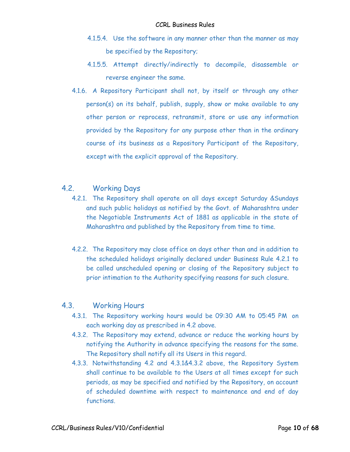- 4.1.5.4. Use the software in any manner other than the manner as may be specified by the Repository;
- 4.1.5.5. Attempt directly/indirectly to decompile, disassemble or reverse engineer the same.
- 4.1.6. A Repository Participant shall not, by itself or through any other person(s) on its behalf, publish, supply, show or make available to any other person or reprocess, retransmit, store or use any information provided by the Repository for any purpose other than in the ordinary course of its business as a Repository Participant of the Repository, except with the explicit approval of the Repository.

#### 4.2. Working Days

- 4.2.1. The Repository shall operate on all days except Saturday &Sundays and such public holidays as notified by the Govt. of Maharashtra under the Negotiable Instruments Act of 1881 as applicable in the state of Maharashtra and published by the Repository from time to time.
- 4.2.2. The Repository may close office on days other than and in addition to the scheduled holidays originally declared under Business Rule 4.2.1 to be called unscheduled opening or closing of the Repository subject to prior intimation to the Authority specifying reasons for such closure.

#### 4.3. Working Hours

- 4.3.1. The Repository working hours would be 09:30 AM to 05:45 PM on each working day as prescribed in 4.2 above.
- 4.3.2. The Repository may extend, advance or reduce the working hours by notifying the Authority in advance specifying the reasons for the same. The Repository shall notify all its Users in this regard.
- 4.3.3. Notwithstanding 4.2 and 4.3.1&4.3.2 above, the Repository System shall continue to be available to the Users at all times except for such periods, as may be specified and notified by the Repository, on account of scheduled downtime with respect to maintenance and end of day functions.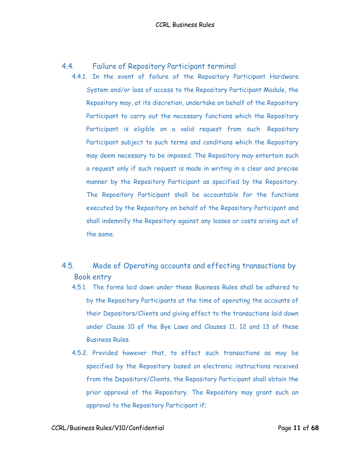## 4.4. Failure of Repository Participant terminal

4.4.1. In the event of failure of the Repository Participant Hardware System and/or loss of access to the Repository Participant Module, the Repository may, at its discretion, undertake on behalf of the Repository Participant to carry out the necessary functions which the Repository Participant is eligible on a valid request from such Repository Participant subject to such terms and conditions which the Repository may deem necessary to be imposed. The Repository may entertain such a request only if such request is made in writing in a clear and precise manner by the Repository Participant as specified by the Repository. The Repository Participant shall be accountable for the functions executed by the Repository on behalf of the Repository Participant and shall indemnify the Repository against any losses or costs arising out of the same.

# 4.5. Mode of Operating accounts and effecting transactions by Book entry

- 4.5.1. The forms laid down under these Business Rules shall be adhered to by the Repository Participants at the time of operating the accounts of their Depositors/Clients and giving effect to the transactions laid down under Clause 10 of the Bye Laws and Clauses 11, 12 and 13 of these Business Rules.
- 4.5.2. Provided however that, to effect such transactions as may be specified by the Repository based on electronic instructions received from the Depositors/Clients, the Repository Participant shall obtain the prior approval of the Repository. The Repository may grant such an approval to the Repository Participant if;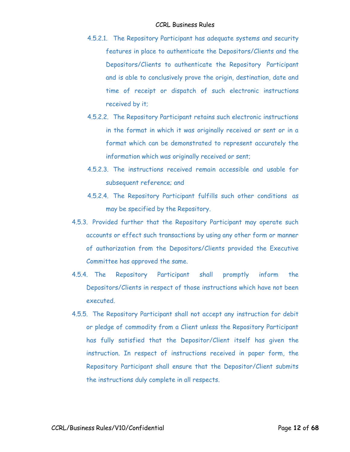- 4.5.2.1. The Repository Participant has adequate systems and security features in place to authenticate the Depositors/Clients and the Depositors/Clients to authenticate the Repository Participant and is able to conclusively prove the origin, destination, date and time of receipt or dispatch of such electronic instructions received by it;
- 4.5.2.2. The Repository Participant retains such electronic instructions in the format in which it was originally received or sent or in a format which can be demonstrated to represent accurately the information which was originally received or sent;
- 4.5.2.3. The instructions received remain accessible and usable for subsequent reference; and
- 4.5.2.4. The Repository Participant fulfills such other conditions as may be specified by the Repository.
- 4.5.3. Provided further that the Repository Participant may operate such accounts or effect such transactions by using any other form or manner of authorization from the Depositors/Clients provided the Executive Committee has approved the same.
- 4.5.4. The Repository Participant shall promptly inform the Depositors/Clients in respect of those instructions which have not been executed.
- 4.5.5. The Repository Participant shall not accept any instruction for debit or pledge of commodity from a Client unless the Repository Participant has fully satisfied that the Depositor/Client itself has given the instruction. In respect of instructions received in paper form, the Repository Participant shall ensure that the Depositor/Client submits the instructions duly complete in all respects.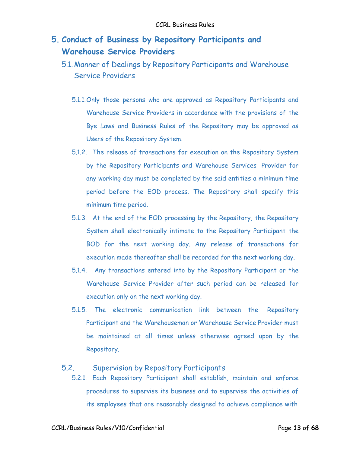# **5. Conduct of Business by Repository Participants and Warehouse Service Providers**

- 5.1.Manner of Dealings by Repository Participants and Warehouse Service Providers
	- 5.1.1.Only those persons who are approved as Repository Participants and Warehouse Service Providers in accordance with the provisions of the Bye Laws and Business Rules of the Repository may be approved as Users of the Repository System.
	- 5.1.2. The release of transactions for execution on the Repository System by the Repository Participants and Warehouse Services Provider for any working day must be completed by the said entities a minimum time period before the EOD process. The Repository shall specify this minimum time period.
	- 5.1.3. At the end of the EOD processing by the Repository, the Repository System shall electronically intimate to the Repository Participant the BOD for the next working day. Any release of transactions for execution made thereafter shall be recorded for the next working day.
	- 5.1.4. Any transactions entered into by the Repository Participant or the Warehouse Service Provider after such period can be released for execution only on the next working day.
	- 5.1.5. The electronic communication link between the Repository Participant and the Warehouseman or Warehouse Service Provider must be maintained at all times unless otherwise agreed upon by the Repository.

#### 5.2. Supervision by Repository Participants

5.2.1. Each Repository Participant shall establish, maintain and enforce procedures to supervise its business and to supervise the activities of its employees that are reasonably designed to achieve compliance with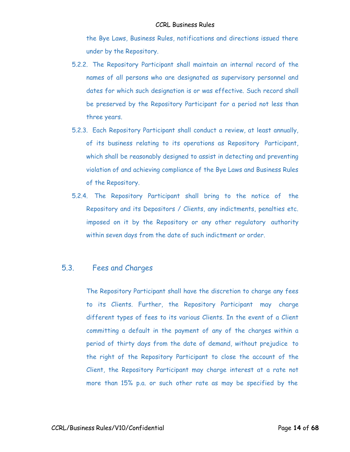the Bye Laws, Business Rules, notifications and directions issued there under by the Repository.

- 5.2.2. The Repository Participant shall maintain an internal record of the names of all persons who are designated as supervisory personnel and dates for which such designation is or was effective. Such record shall be preserved by the Repository Participant for a period not less than three years.
- 5.2.3. Each Repository Participant shall conduct a review, at least annually, of its business relating to its operations as Repository Participant, which shall be reasonably designed to assist in detecting and preventing violation of and achieving compliance of the Bye Laws and Business Rules of the Repository.
- 5.2.4. The Repository Participant shall bring to the notice of the Repository and its Depositors / Clients, any indictments, penalties etc. imposed on it by the Repository or any other regulatory authority within seven days from the date of such indictment or order.

#### 5.3. Fees and Charges

The Repository Participant shall have the discretion to charge any fees to its Clients. Further, the Repository Participant may charge different types of fees to its various Clients. In the event of a Client committing a default in the payment of any of the charges within a period of thirty days from the date of demand, without prejudice to the right of the Repository Participant to close the account of the Client, the Repository Participant may charge interest at a rate not more than 15% p.a. or such other rate as may be specified by the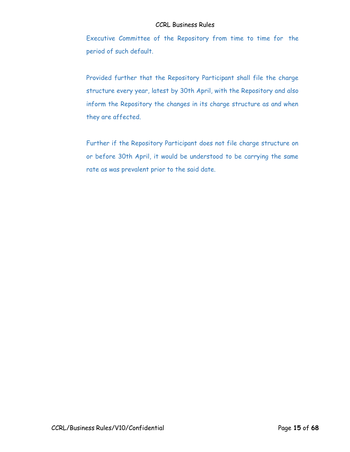Executive Committee of the Repository from time to time for the period of such default.

Provided further that the Repository Participant shall file the charge structure every year, latest by 30th April, with the Repository and also inform the Repository the changes in its charge structure as and when they are affected.

Further if the Repository Participant does not file charge structure on or before 30th April, it would be understood to be carrying the same rate as was prevalent prior to the said date.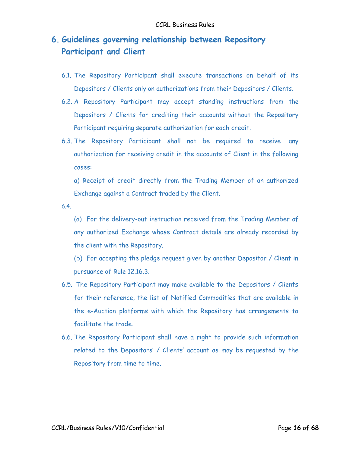# **6. Guidelines governing relationship between Repository Participant and Client**

- 6.1. The Repository Participant shall execute transactions on behalf of its Depositors / Clients only on authorizations from their Depositors / Clients.
- 6.2. A Repository Participant may accept standing instructions from the Depositors / Clients for crediting their accounts without the Repository Participant requiring separate authorization for each credit.
- 6.3. The Repository Participant shall not be required to receive any authorization for receiving credit in the accounts of Client in the following cases:

a) Receipt of credit directly from the Trading Member of an authorized Exchange against a Contract traded by the Client.

6.4.

(a) For the delivery-out instruction received from the Trading Member of any authorized Exchange whose Contract details are already recorded by the client with the Repository.

(b) For accepting the pledge request given by another Depositor / Client in pursuance of Rule 12.16.3.

- 6.5. The Repository Participant may make available to the Depositors / Clients for their reference, the list of Notified Commodities that are available in the e-Auction platforms with which the Repository has arrangements to facilitate the trade.
- 6.6. The Repository Participant shall have a right to provide such information related to the Depositors' / Clients' account as may be requested by the Repository from time to time.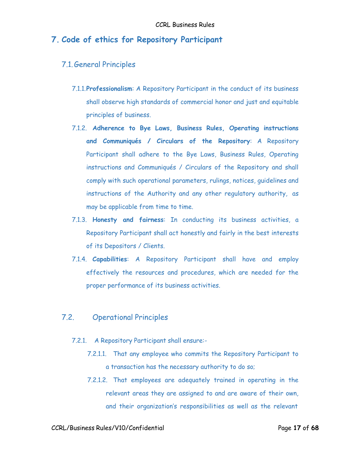## **7. Code of ethics for Repository Participant**

#### 7.1.General Principles

- 7.1.1.**Professionalism**: A Repository Participant in the conduct of its business shall observe high standards of commercial honor and just and equitable principles of business.
- 7.1.2. **Adherence to Bye Laws, Business Rules, Operating instructions and Communiqués / Circulars of the Repository**: A Repository Participant shall adhere to the Bye Laws, Business Rules, Operating instructions and Communiqués / Circulars of the Repository and shall comply with such operational parameters, rulings, notices, guidelines and instructions of the Authority and any other regulatory authority, as may be applicable from time to time.
- 7.1.3. **Honesty and fairness**: In conducting its business activities, a Repository Participant shall act honestly and fairly in the best interests of its Depositors / Clients.
- 7.1.4. **Capabilities**: A Repository Participant shall have and employ effectively the resources and procedures, which are needed for the proper performance of its business activities.

#### 7.2. Operational Principles

- 7.2.1. A Repository Participant shall ensure:-
	- 7.2.1.1. That any employee who commits the Repository Participant to a transaction has the necessary authority to do so;
	- 7.2.1.2. That employees are adequately trained in operating in the relevant areas they are assigned to and are aware of their own, and their organization's responsibilities as well as the relevant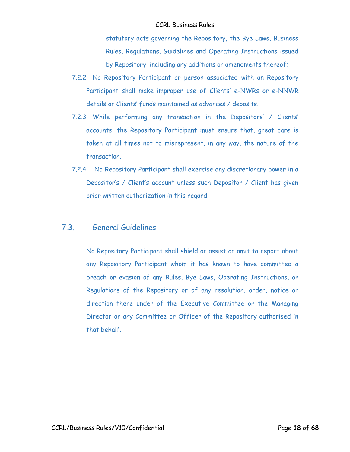statutory acts governing the Repository, the Bye Laws, Business Rules, Regulations, Guidelines and Operating Instructions issued by Repository including any additions or amendments thereof;

- 7.2.2. No Repository Participant or person associated with an Repository Participant shall make improper use of Clients' e-NWRs or e-NNWR details or Clients' funds maintained as advances / deposits.
- 7.2.3. While performing any transaction in the Depositors' / Clients' accounts, the Repository Participant must ensure that, great care is taken at all times not to misrepresent, in any way, the nature of the transaction.
- 7.2.4. No Repository Participant shall exercise any discretionary power in a Depositor's / Client's account unless such Depositor / Client has given prior written authorization in this regard.

#### 7.3. General Guidelines

No Repository Participant shall shield or assist or omit to report about any Repository Participant whom it has known to have committed a breach or evasion of any Rules, Bye Laws, Operating Instructions, or Regulations of the Repository or of any resolution, order, notice or direction there under of the Executive Committee or the Managing Director or any Committee or Officer of the Repository authorised in that behalf.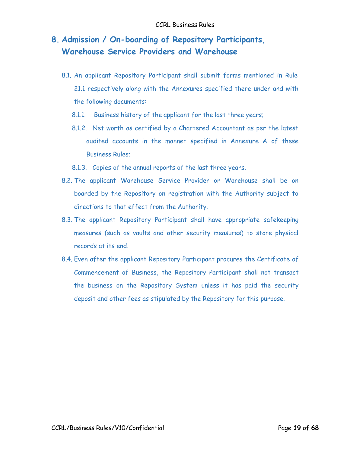# **8. Admission / On-boarding of Repository Participants, Warehouse Service Providers and Warehouse**

- 8.1. An applicant Repository Participant shall submit forms mentioned in Rule 21.1 respectively along with the Annexures specified there under and with the following documents:
	- 8.1.1. Business history of the applicant for the last three years;
	- 8.1.2. Net worth as certified by a Chartered Accountant as per the latest audited accounts in the manner specified in Annexure A of these Business Rules;
	- 8.1.3. Copies of the annual reports of the last three years.
- 8.2. The applicant Warehouse Service Provider or Warehouse shall be on boarded by the Repository on registration with the Authority subject to directions to that effect from the Authority.
- 8.3. The applicant Repository Participant shall have appropriate safekeeping measures (such as vaults and other security measures) to store physical records at its end.
- 8.4. Even after the applicant Repository Participant procures the Certificate of Commencement of Business, the Repository Participant shall not transact the business on the Repository System unless it has paid the security deposit and other fees as stipulated by the Repository for this purpose.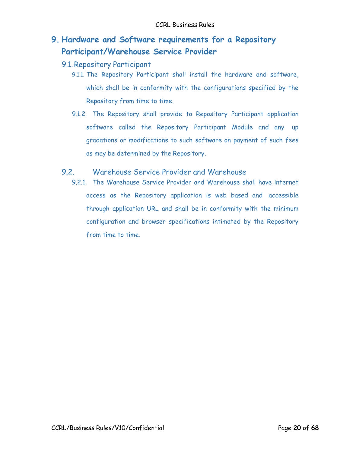# **9. Hardware and Software requirements for a Repository Participant/Warehouse Service Provider**

- 9.1.Repository Participant
	- 9.1.1. The Repository Participant shall install the hardware and software, which shall be in conformity with the configurations specified by the Repository from time to time.
	- 9.1.2. The Repository shall provide to Repository Participant application software called the Repository Participant Module and any up gradations or modifications to such software on payment of such fees as may be determined by the Repository.

#### 9.2. Warehouse Service Provider and Warehouse

9.2.1. The Warehouse Service Provider and Warehouse shall have internet access as the Repository application is web based and accessible through application URL and shall be in conformity with the minimum configuration and browser specifications intimated by the Repository from time to time.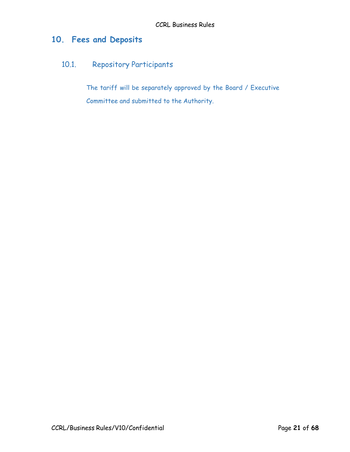# **10. Fees and Deposits**

# 10.1. Repository Participants

The tariff will be separately approved by the Board / Executive Committee and submitted to the Authority.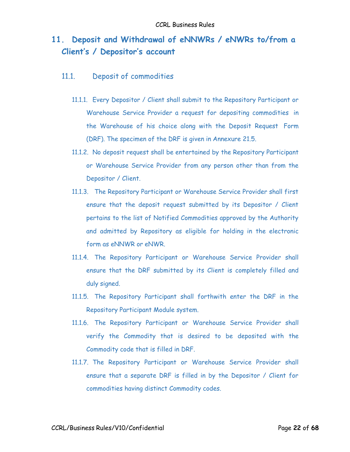# **11. Deposit and Withdrawal of eNNWRs / eNWRs to/from a Client's / Depositor's account**

- 11.1. Deposit of commodities
	- 11.1.1. Every Depositor / Client shall submit to the Repository Participant or Warehouse Service Provider a request for depositing commodities in the Warehouse of his choice along with the Deposit Request Form (DRF). The specimen of the DRF is given in Annexure 21.5.
	- 11.1.2. No deposit request shall be entertained by the Repository Participant or Warehouse Service Provider from any person other than from the Depositor / Client.
	- 11.1.3. The Repository Participant or Warehouse Service Provider shall first ensure that the deposit request submitted by its Depositor / Client pertains to the list of Notified Commodities approved by the Authority and admitted by Repository as eligible for holding in the electronic form as eNNWR or eNWR.
	- 11.1.4. The Repository Participant or Warehouse Service Provider shall ensure that the DRF submitted by its Client is completely filled and duly signed.
	- 11.1.5. The Repository Participant shall forthwith enter the DRF in the Repository Participant Module system.
	- 11.1.6. The Repository Participant or Warehouse Service Provider shall verify the Commodity that is desired to be deposited with the Commodity code that is filled in DRF.
	- 11.1.7. The Repository Participant or Warehouse Service Provider shall ensure that a separate DRF is filled in by the Depositor / Client for commodities having distinct Commodity codes.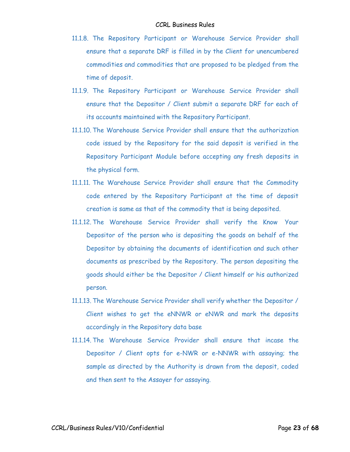- 11.1.8. The Repository Participant or Warehouse Service Provider shall ensure that a separate DRF is filled in by the Client for unencumbered commodities and commodities that are proposed to be pledged from the time of deposit.
- 11.1.9. The Repository Participant or Warehouse Service Provider shall ensure that the Depositor / Client submit a separate DRF for each of its accounts maintained with the Repository Participant.
- 11.1.10. The Warehouse Service Provider shall ensure that the authorization code issued by the Repository for the said deposit is verified in the Repository Participant Module before accepting any fresh deposits in the physical form.
- 11.1.11. The Warehouse Service Provider shall ensure that the Commodity code entered by the Repository Participant at the time of deposit creation is same as that of the commodity that is being deposited.
- 11.1.12. The Warehouse Service Provider shall verify the Know Your Depositor of the person who is depositing the goods on behalf of the Depositor by obtaining the documents of identification and such other documents as prescribed by the Repository. The person depositing the goods should either be the Depositor / Client himself or his authorized person.
- 11.1.13. The Warehouse Service Provider shall verify whether the Depositor / Client wishes to get the eNNWR or eNWR and mark the deposits accordingly in the Repository data base
- 11.1.14. The Warehouse Service Provider shall ensure that incase the Depositor / Client opts for e-NWR or e-NNWR with assaying; the sample as directed by the Authority is drawn from the deposit, coded and then sent to the Assayer for assaying.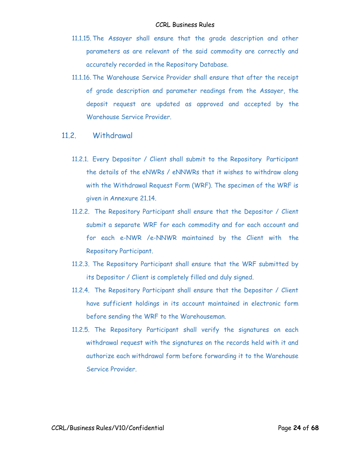- 11.1.15. The Assayer shall ensure that the grade description and other parameters as are relevant of the said commodity are correctly and accurately recorded in the Repository Database.
- 11.1.16. The Warehouse Service Provider shall ensure that after the receipt of grade description and parameter readings from the Assayer, the deposit request are updated as approved and accepted by the Warehouse Service Provider.
- 11.2. Withdrawal
	- 11.2.1. Every Depositor / Client shall submit to the Repository Participant the details of the eNWRs / eNNWRs that it wishes to withdraw along with the Withdrawal Request Form (WRF). The specimen of the WRF is given in Annexure 21.14.
	- 11.2.2. The Repository Participant shall ensure that the Depositor / Client submit a separate WRF for each commodity and for each account and for each e-NWR /e-NNWR maintained by the Client with the Repository Participant.
	- 11.2.3. The Repository Participant shall ensure that the WRF submitted by its Depositor / Client is completely filled and duly signed.
	- 11.2.4. The Repository Participant shall ensure that the Depositor / Client have sufficient holdings in its account maintained in electronic form before sending the WRF to the Warehouseman.
	- 11.2.5. The Repository Participant shall verify the signatures on each withdrawal request with the signatures on the records held with it and authorize each withdrawal form before forwarding it to the Warehouse Service Provider.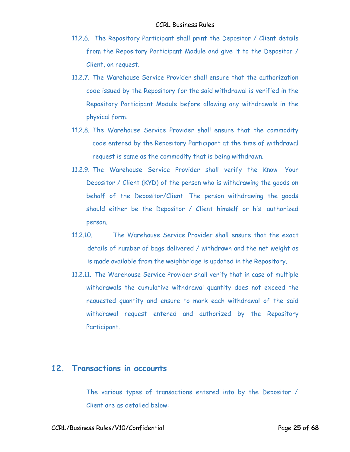- 11.2.6. The Repository Participant shall print the Depositor / Client details from the Repository Participant Module and give it to the Depositor / Client, on request.
- 11.2.7. The Warehouse Service Provider shall ensure that the authorization code issued by the Repository for the said withdrawal is verified in the Repository Participant Module before allowing any withdrawals in the physical form.
- 11.2.8. The Warehouse Service Provider shall ensure that the commodity code entered by the Repository Participant at the time of withdrawal request is same as the commodity that is being withdrawn.
- 11.2.9. The Warehouse Service Provider shall verify the Know Your Depositor / Client (KYD) of the person who is withdrawing the goods on behalf of the Depositor/Client. The person withdrawing the goods should either be the Depositor / Client himself or his authorized person.
- 11.2.10. The Warehouse Service Provider shall ensure that the exact details of number of bags delivered / withdrawn and the net weight as is made available from the weighbridge is updated in the Repository.
- 11.2.11. The Warehouse Service Provider shall verify that in case of multiple withdrawals the cumulative withdrawal quantity does not exceed the requested quantity and ensure to mark each withdrawal of the said withdrawal request entered and authorized by the Repository Participant.

## **12. Transactions in accounts**

The various types of transactions entered into by the Depositor / Client are as detailed below: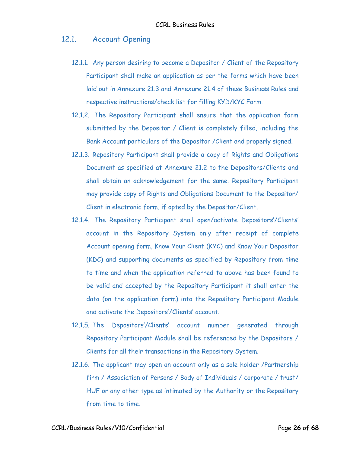#### 12.1. Account Opening

- 12.1.1. Any person desiring to become a Depositor / Client of the Repository Participant shall make an application as per the forms which have been laid out in Annexure 21.3 and Annexure 21.4 of these Business Rules and respective instructions/check list for filling KYD/KYC Form.
- 12.1.2. The Repository Participant shall ensure that the application form submitted by the Depositor / Client is completely filled, including the Bank Account particulars of the Depositor /Client and properly signed.
- 12.1.3. Repository Participant shall provide a copy of Rights and Obligations Document as specified at Annexure 21.2 to the Depositors/Clients and shall obtain an acknowledgement for the same. Repository Participant may provide copy of Rights and Obligations Document to the Depositor/ Client in electronic form, if opted by the Depositor/Client.
- 12.1.4. The Repository Participant shall open/activate Depositors'/Clients' account in the Repository System only after receipt of complete Account opening form, Know Your Client (KYC) and Know Your Depositor (KDC) and supporting documents as specified by Repository from time to time and when the application referred to above has been found to be valid and accepted by the Repository Participant it shall enter the data (on the application form) into the Repository Participant Module and activate the Depositors'/Clients' account.
- 12.1.5. The Depositors'/Clients' account number generated through Repository Participant Module shall be referenced by the Depositors / Clients for all their transactions in the Repository System.
- 12.1.6. The applicant may open an account only as a sole holder /Partnership firm / Association of Persons / Body of Individuals / corporate / trust/ HUF or any other type as intimated by the Authority or the Repository from time to time.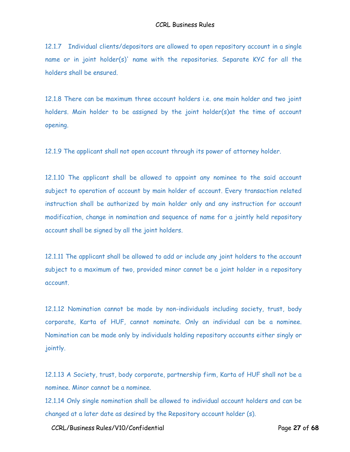12.1.7 Individual clients/depositors are allowed to open repository account in a single name or in joint holder(s)' name with the repositories. Separate KYC for all the holders shall be ensured.

12.1.8 There can be maximum three account holders i.e. one main holder and two joint holders. Main holder to be assigned by the joint holder(s)at the time of account opening.

12.1.9 The applicant shall not open account through its power of attorney holder.

12.1.10 The applicant shall be allowed to appoint any nominee to the said account subject to operation of account by main holder of account. Every transaction related instruction shall be authorized by main holder only and any instruction for account modification, change in nomination and sequence of name for a jointly held repository account shall be signed by all the joint holders.

12.1.11 The applicant shall be allowed to add or include any joint holders to the account subject to a maximum of two, provided minor cannot be a joint holder in a repository account.

12.1.12 Nomination cannot be made by non-individuals including society, trust, body corporate, Karta of HUF, cannot nominate. Only an individual can be a nominee. Nomination can be made only by individuals holding repository accounts either singly or jointly.

12.1.13 A Society, trust, body corporate, partnership firm, Karta of HUF shall not be a nominee. Minor cannot be a nominee.

12.1.14 Only single nomination shall be allowed to individual account holders and can be changed at a later date as desired by the Repository account holder (s).

CCRL/Business Rules/V10/Confidential Page **27** of **68**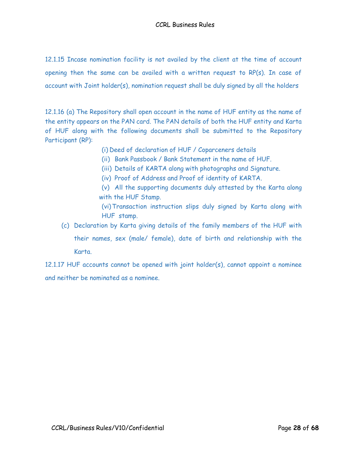12.1.15 Incase nomination facility is not availed by the client at the time of account opening then the same can be availed with a written request to RP(s). In case of account with Joint holder(s), nomination request shall be duly signed by all the holders

12.1.16 (a) The Repository shall open account in the name of HUF entity as the name of the entity appears on the PAN card. The PAN details of both the HUF entity and Karta of HUF along with the following documents shall be submitted to the Repository Participant (RP):

(i) Deed of declaration of HUF / Coparceners details

(ii) Bank Passbook / Bank Statement in the name of HUF.

(iii) Details of KARTA along with photographs and Signature.

(iv) Proof of Address and Proof of identity of KARTA.

(v) All the supporting documents duly attested by the Karta along with the HUF Stamp.

(vi)Transaction instruction slips duly signed by Karta along with HUF stamp.

(c) Declaration by Karta giving details of the family members of the HUF with their names, sex (male/ female), date of birth and relationship with the Karta.

12.1.17 HUF accounts cannot be opened with joint holder(s), cannot appoint a nominee and neither be nominated as a nominee.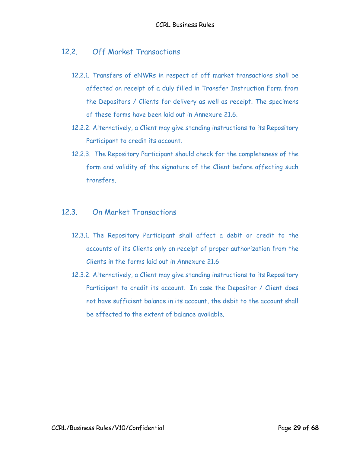## 12.2. Off Market Transactions

- 12.2.1. Transfers of eNWRs in respect of off market transactions shall be affected on receipt of a duly filled in Transfer Instruction Form from the Depositors / Clients for delivery as well as receipt. The specimens of these forms have been laid out in Annexure 21.6.
- 12.2.2. Alternatively, a Client may give standing instructions to its Repository Participant to credit its account.
- 12.2.3. The Repository Participant should check for the completeness of the form and validity of the signature of the Client before affecting such transfers.

#### 12.3. On Market Transactions

- 12.3.1. The Repository Participant shall affect a debit or credit to the accounts of its Clients only on receipt of proper authorization from the Clients in the forms laid out in Annexure 21.6
- 12.3.2. Alternatively, a Client may give standing instructions to its Repository Participant to credit its account. In case the Depositor / Client does not have sufficient balance in its account, the debit to the account shall be effected to the extent of balance available.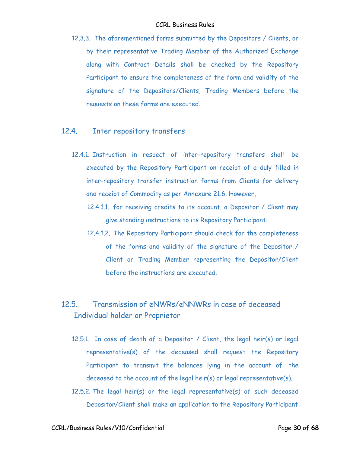12.3.3. The aforementioned forms submitted by the Depositors / Clients, or by their representative Trading Member of the Authorized Exchange along with Contract Details shall be checked by the Repository Participant to ensure the completeness of the form and validity of the signature of the Depositors/Clients, Trading Members before the requests on these forms are executed.

#### 12.4. Inter repository transfers

- 12.4.1. Instruction in respect of inter-repository transfers shall be executed by the Repository Participant on receipt of a duly filled in inter-repository transfer instruction forms from Clients for delivery and receipt of Commodity as per Annexure 21.6. However,
	- 12.4.1.1. for receiving credits to its account, a Depositor / Client may give standing instructions to its Repository Participant.
	- 12.4.1.2. The Repository Participant should check for the completeness of the forms and validity of the signature of the Depositor / Client or Trading Member representing the Depositor/Client before the instructions are executed.

# 12.5. Transmission of eNWRs/eNNWRs in case of deceased Individual holder or Proprietor

- 12.5.1. In case of death of a Depositor / Client, the legal heir(s) or legal representative(s) of the deceased shall request the Repository Participant to transmit the balances lying in the account of the deceased to the account of the legal heir(s) or legal representative(s).
- 12.5.2. The legal heir(s) or the legal representative(s) of such deceased Depositor/Client shall make an application to the Repository Participant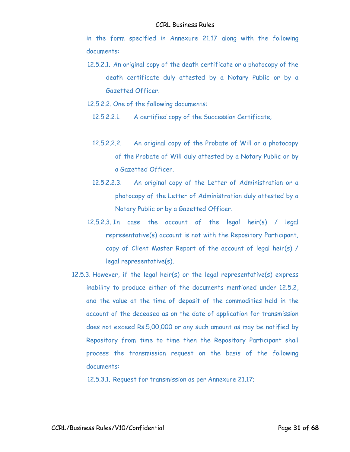in the form specified in Annexure 21.17 along with the following documents:

12.5.2.1. An original copy of the death certificate or a photocopy of the death certificate duly attested by a Notary Public or by a Gazetted Officer.

12.5.2.2. One of the following documents:

12.5.2.2.1. A certified copy of the Succession Certificate;

- 12.5.2.2.2. An original copy of the Probate of Will or a photocopy of the Probate of Will duly attested by a Notary Public or by a Gazetted Officer.
- 12.5.2.2.3. An original copy of the Letter of Administration or a photocopy of the Letter of Administration duly attested by a Notary Public or by a Gazetted Officer.
- 12.5.2.3. In case the account of the legal heir(s) / legal representative(s) account is not with the Repository Participant, copy of Client Master Report of the account of legal heir(s) / legal representative(s).
- 12.5.3. However, if the legal heir(s) or the legal representative(s) express inability to produce either of the documents mentioned under 12.5.2, and the value at the time of deposit of the commodities held in the account of the deceased as on the date of application for transmission does not exceed Rs.5,00,000 or any such amount as may be notified by Repository from time to time then the Repository Participant shall process the transmission request on the basis of the following documents:

12.5.3.1. Request for transmission as per Annexure 21.17;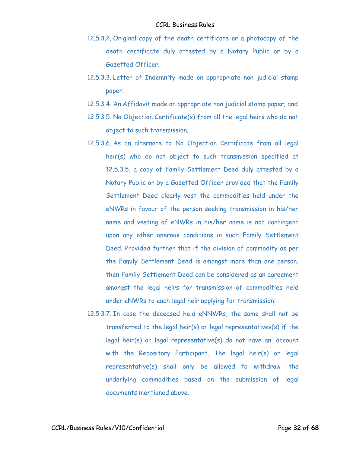- 12.5.3.2. Original copy of the death certificate or a photocopy of the death certificate duly attested by a Notary Public or by a Gazetted Officer;
- 12.5.3.3. Letter of Indemnity made on appropriate non judicial stamp paper;
- 12.5.3.4. An Affidavit made on appropriate non judicial stamp paper; and
- 12.5.3.5. No Objection Certificate(s) from all the legal heirs who do not object to such transmission.
- 12.5.3.6. As an alternate to No Objection Certificate from all legal heir(s) who do not object to such transmission specified at 12.5.3.5, a copy of Family Settlement Deed duly attested by a Notary Public or by a Gazetted Officer provided that the Family Settlement Deed clearly vest the commodities held under the eNWRs in favour of the person seeking transmission in his/her name and vesting of eNWRs in his/her name is not contingent upon any other onerous conditions in such Family Settlement Deed. Provided further that if the division of commodity as per the Family Settlement Deed is amongst more than one person, then Family Settlement Deed can be considered as an agreement amongst the legal heirs for transmission of commodities held under eNWRs to each legal heir applying for transmission.
- 12.5.3.7. In case the deceased held eNNWRs, the same shall not be transferred to the legal heir(s) or legal representatives(s) if the legal heir(s) or legal representative(s) do not have an account with the Repository Participant. The legal heir(s) or legal representative(s) shall only be allowed to withdraw the underlying commodities based on the submission of legal documents mentioned above.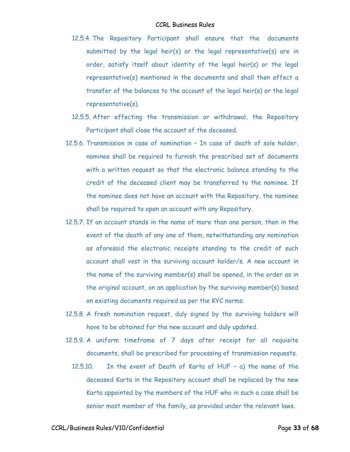- 12.5.4. The Repository Participant shall ensure that the documents submitted by the legal heir(s) or the legal representative(s) are in order, satisfy itself about identity of the legal heir(s) or the legal representative(s) mentioned in the documents and shall then effect a transfer of the balances to the account of the legal heir(s) or the legal representative(s).
- 12.5.5. After effecting the transmission or withdrawal, the Repository Participant shall close the account of the deceased.
- 12.5.6. Transmission in case of nomination In case of death of sole holder, nominee shall be required to furnish the prescribed set of documents with a written request so that the electronic balance standing to the credit of the deceased client may be transferred to the nominee. If the nominee does not have an account with the Repository, the nominee shall be required to open an account with any Repository.
- 12.5.7. If an account stands in the name of more than one person, then in the event of the death of any one of them, notwithstanding any nomination as aforesaid the electronic receipts standing to the credit of such account shall vest in the surviving account holder/s. A new account in the name of the surviving member(s) shall be opened, in the order as in the original account, on an application by the surviving member(s) based on existing documents required as per the KYC norms.
- 12.5.8. A fresh nomination request, duly signed by the surviving holders will have to be obtained for the new account and duly updated.
- 12.5.9. A uniform timeframe of 7 days after receipt for all requisite documents, shall be prescribed for processing of transmission requests.
	- 12.5.10. In the event of Death of Karta of HUF a) the name of the deceased Karta in the Repository account shall be replaced by the new Karta appointed by the members of the HUF who in such a case shall be senior most member of the family, as provided under the relevant laws.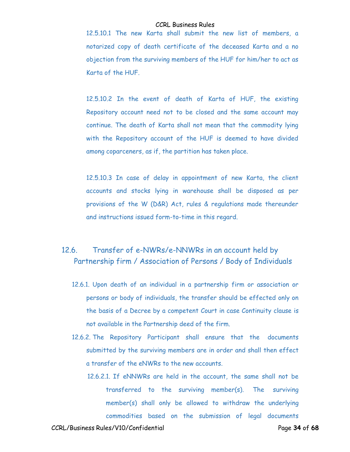12.5.10.1 The new Karta shall submit the new list of members, a notarized copy of death certificate of the deceased Karta and a no objection from the surviving members of the HUF for him/her to act as Karta of the HUF.

12.5.10.2 In the event of death of Karta of HUF, the existing Repository account need not to be closed and the same account may continue. The death of Karta shall not mean that the commodity lying with the Repository account of the HUF is deemed to have divided among coparceners, as if, the partition has taken place.

12.5.10.3 In case of delay in appointment of new Karta, the client accounts and stocks lying in warehouse shall be disposed as per provisions of the W (D&R) Act, rules & regulations made thereunder and instructions issued form-to-time in this regard.

# 12.6. Transfer of e-NWRs/e-NNWRs in an account held by Partnership firm / Association of Persons / Body of Individuals

- 12.6.1. Upon death of an individual in a partnership firm or association or persons or body of individuals, the transfer should be effected only on the basis of a Decree by a competent Court in case Continuity clause is not available in the Partnership deed of the firm.
- 12.6.2. The Repository Participant shall ensure that the documents submitted by the surviving members are in order and shall then effect a transfer of the eNWRs to the new accounts.
	- 12.6.2.1. If eNNWRs are held in the account, the same shall not be transferred to the surviving member(s). The surviving member(s) shall only be allowed to withdraw the underlying commodities based on the submission of legal documents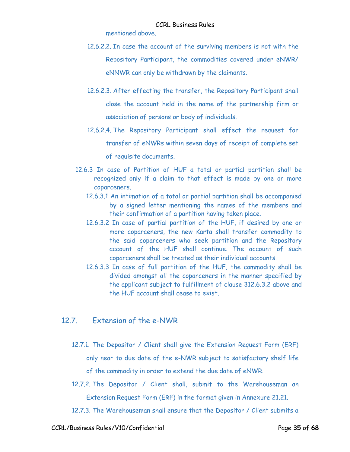mentioned above.

- 12.6.2.2. In case the account of the surviving members is not with the Repository Participant, the commodities covered under eNWR/ eNNWR can only be withdrawn by the claimants.
- 12.6.2.3. After effecting the transfer, the Repository Participant shall close the account held in the name of the partnership firm or association of persons or body of individuals.
- 12.6.2.4. The Repository Participant shall effect the request for transfer of eNWRs within seven days of receipt of complete set of requisite documents.
- 12.6.3 In case of Partition of HUF a total or partial partition shall be recognized only if a claim to that effect is made by one or more coparceners.
	- 12.6.3.1 An intimation of a total or partial partition shall be accompanied by a signed letter mentioning the names of the members and their confirmation of a partition having taken place.
	- 12.6.3.2 In case of partial partition of the HUF, if desired by one or more coparceners, the new Karta shall transfer commodity to the said coparceners who seek partition and the Repository account of the HUF shall continue. The account of such coparceners shall be treated as their individual accounts.
	- 12.6.3.3 In case of full partition of the HUF, the commodity shall be divided amongst all the coparceners in the manner specified by the applicant subject to fulfillment of clause 312.6.3.2 above and the HUF account shall cease to exist.

## 12.7. Extension of the e-NWR

- 12.7.1. The Depositor / Client shall give the Extension Request Form (ERF) only near to due date of the e-NWR subject to satisfactory shelf life of the commodity in order to extend the due date of eNWR.
- 12.7.2. The Depositor / Client shall, submit to the Warehouseman an Extension Request Form (ERF) in the format given in Annexure 21.21.
- 12.7.3. The Warehouseman shall ensure that the Depositor / Client submits a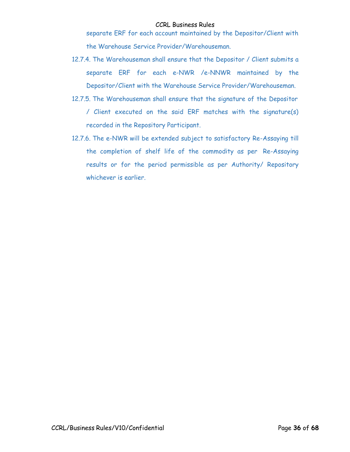separate ERF for each account maintained by the Depositor/Client with the Warehouse Service Provider/Warehouseman.

- 12.7.4. The Warehouseman shall ensure that the Depositor / Client submits a separate ERF for each e-NWR /e-NNWR maintained by the Depositor/Client with the Warehouse Service Provider/Warehouseman.
- 12.7.5. The Warehouseman shall ensure that the signature of the Depositor / Client executed on the said ERF matches with the signature(s) recorded in the Repository Participant.
- 12.7.6. The e-NWR will be extended subject to satisfactory Re-Assaying till the completion of shelf life of the commodity as per Re-Assaying results or for the period permissible as per Authority/ Repository whichever is earlier.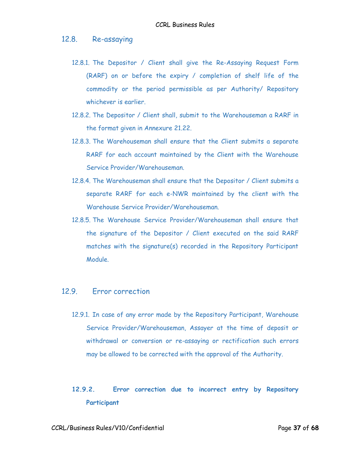### 12.8. Re-assaying

- 12.8.1. The Depositor / Client shall give the Re-Assaying Request Form (RARF) on or before the expiry / completion of shelf life of the commodity or the period permissible as per Authority/ Repository whichever is earlier.
- 12.8.2. The Depositor / Client shall, submit to the Warehouseman a RARF in the format given in Annexure 21.22.
- 12.8.3. The Warehouseman shall ensure that the Client submits a separate RARF for each account maintained by the Client with the Warehouse Service Provider/Warehouseman.
- 12.8.4. The Warehouseman shall ensure that the Depositor / Client submits a separate RARF for each e-NWR maintained by the client with the Warehouse Service Provider/Warehouseman.
- 12.8.5. The Warehouse Service Provider/Warehouseman shall ensure that the signature of the Depositor / Client executed on the said RARF matches with the signature(s) recorded in the Repository Participant Module.

## 12.9. Error correction

12.9.1. In case of any error made by the Repository Participant, Warehouse Service Provider/Warehouseman, Assayer at the time of deposit or withdrawal or conversion or re-assaying or rectification such errors may be allowed to be corrected with the approval of the Authority.

# **12.9.2. Error correction due to incorrect entry by Repository Participant**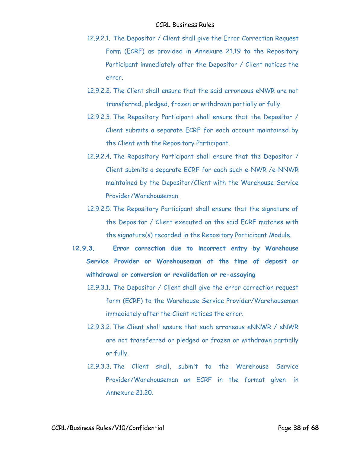- 12.9.2.1. The Depositor / Client shall give the Error Correction Request Form (ECRF) as provided in Annexure 21.19 to the Repository Participant immediately after the Depositor / Client notices the error.
- 12.9.2.2. The Client shall ensure that the said erroneous eNWR are not transferred, pledged, frozen or withdrawn partially or fully.
- 12.9.2.3. The Repository Participant shall ensure that the Depositor / Client submits a separate ECRF for each account maintained by the Client with the Repository Participant.
- 12.9.2.4. The Repository Participant shall ensure that the Depositor / Client submits a separate ECRF for each such e-NWR /e-NNWR maintained by the Depositor/Client with the Warehouse Service Provider/Warehouseman.
- 12.9.2.5. The Repository Participant shall ensure that the signature of the Depositor / Client executed on the said ECRF matches with the signature(s) recorded in the Repository Participant Module.
- **12.9.3. Error correction due to incorrect entry by Warehouse Service Provider or Warehouseman at the time of deposit or withdrawal or conversion or revalidation or re-assaying**
	- 12.9.3.1. The Depositor / Client shall give the error correction request form (ECRF) to the Warehouse Service Provider/Warehouseman immediately after the Client notices the error.
	- 12.9.3.2. The Client shall ensure that such erroneous eNNWR / eNWR are not transferred or pledged or frozen or withdrawn partially or fully.
	- 12.9.3.3. The Client shall, submit to the Warehouse Service Provider/Warehouseman an ECRF in the format given in Annexure 21.20.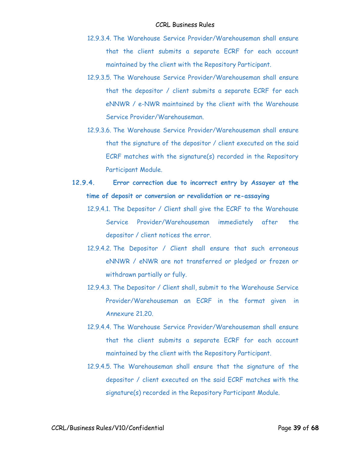- 12.9.3.4. The Warehouse Service Provider/Warehouseman shall ensure that the client submits a separate ECRF for each account maintained by the client with the Repository Participant.
- 12.9.3.5. The Warehouse Service Provider/Warehouseman shall ensure that the depositor / client submits a separate ECRF for each eNNWR / e-NWR maintained by the client with the Warehouse Service Provider/Warehouseman.
- 12.9.3.6. The Warehouse Service Provider/Warehouseman shall ensure that the signature of the depositor / client executed on the said ECRF matches with the signature(s) recorded in the Repository Participant Module.
- **12.9.4. Error correction due to incorrect entry by Assayer at the time of deposit or conversion or revalidation or re-assaying**
	- 12.9.4.1. The Depositor / Client shall give the ECRF to the Warehouse Service Provider/Warehouseman immediately after the depositor / client notices the error.
	- 12.9.4.2. The Depositor / Client shall ensure that such erroneous eNNWR / eNWR are not transferred or pledged or frozen or withdrawn partially or fully.
	- 12.9.4.3. The Depositor / Client shall, submit to the Warehouse Service Provider/Warehouseman an ECRF in the format given in Annexure 21.20.
	- 12.9.4.4. The Warehouse Service Provider/Warehouseman shall ensure that the client submits a separate ECRF for each account maintained by the client with the Repository Participant.
	- 12.9.4.5. The Warehouseman shall ensure that the signature of the depositor / client executed on the said ECRF matches with the signature(s) recorded in the Repository Participant Module.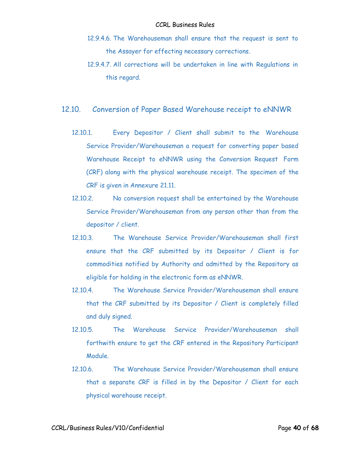- 12.9.4.6. The Warehouseman shall ensure that the request is sent to the Assayer for effecting necessary corrections.
- 12.9.4.7. All corrections will be undertaken in line with Regulations in this regard.

### 12.10. Conversion of Paper Based Warehouse receipt to eNNWR

- 12.10.1. Every Depositor / Client shall submit to the Warehouse Service Provider/Warehouseman a request for converting paper based Warehouse Receipt to eNNWR using the Conversion Request Form (CRF) along with the physical warehouse receipt. The specimen of the CRF is given in Annexure 21.11.
- 12.10.2. No conversion request shall be entertained by the Warehouse Service Provider/Warehouseman from any person other than from the depositor / client.
- 12.10.3. The Warehouse Service Provider/Warehouseman shall first ensure that the CRF submitted by its Depositor / Client is for commodities notified by Authority and admitted by the Repository as eligible for holding in the electronic form as eNNWR.
- 12.10.4. The Warehouse Service Provider/Warehouseman shall ensure that the CRF submitted by its Depositor / Client is completely filled and duly signed.
- 12.10.5. The Warehouse Service Provider/Warehouseman shall forthwith ensure to get the CRF entered in the Repository Participant Module.
- 12.10.6. The Warehouse Service Provider/Warehouseman shall ensure that a separate CRF is filled in by the Depositor / Client for each physical warehouse receipt.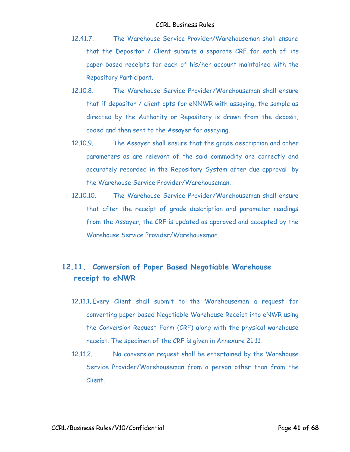- 12.41.7. The Warehouse Service Provider/Warehouseman shall ensure that the Depositor / Client submits a separate CRF for each of its paper based receipts for each of his/her account maintained with the Repository Participant.
- 12.10.8. The Warehouse Service Provider/Warehouseman shall ensure that if depositor / client opts for eNNWR with assaying, the sample as directed by the Authority or Repository is drawn from the deposit, coded and then sent to the Assayer for assaying.
- 12.10.9. The Assayer shall ensure that the grade description and other parameters as are relevant of the said commodity are correctly and accurately recorded in the Repository System after due approval by the Warehouse Service Provider/Warehouseman.
- 12.10.10. The Warehouse Service Provider/Warehouseman shall ensure that after the receipt of grade description and parameter readings from the Assayer, the CRF is updated as approved and accepted by the Warehouse Service Provider/Warehouseman.

# **12.11. Conversion of Paper Based Negotiable Warehouse receipt to eNWR**

- 12.11.1. Every Client shall submit to the Warehouseman a request for converting paper based Negotiable Warehouse Receipt into eNWR using the Conversion Request Form (CRF) along with the physical warehouse receipt. The specimen of the CRF is given in Annexure 21.11.
- 12.11.2. No conversion request shall be entertained by the Warehouse Service Provider/Warehouseman from a person other than from the Client.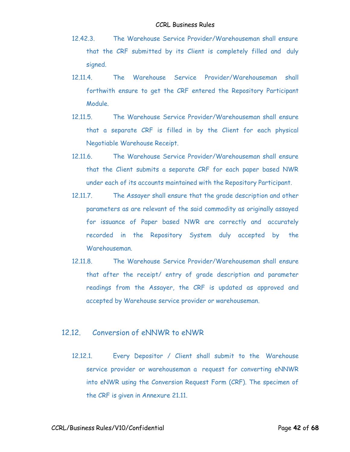- 12.42.3. The Warehouse Service Provider/Warehouseman shall ensure that the CRF submitted by its Client is completely filled and duly signed.
- 12.11.4. The Warehouse Service Provider/Warehouseman shall forthwith ensure to get the CRF entered the Repository Participant Module.
- 12.11.5. The Warehouse Service Provider/Warehouseman shall ensure that a separate CRF is filled in by the Client for each physical Negotiable Warehouse Receipt.
- 12.11.6. The Warehouse Service Provider/Warehouseman shall ensure that the Client submits a separate CRF for each paper based NWR under each of its accounts maintained with the Repository Participant.
- 12.11.7. The Assayer shall ensure that the grade description and other parameters as are relevant of the said commodity as originally assayed for issuance of Paper based NWR are correctly and accurately recorded in the Repository System duly accepted by the Warehouseman.
- 12.11.8. The Warehouse Service Provider/Warehouseman shall ensure that after the receipt/ entry of grade description and parameter readings from the Assayer, the CRF is updated as approved and accepted by Warehouse service provider or warehouseman.

### 12.12. Conversion of eNNWR to eNWR

12.12.1. Every Depositor / Client shall submit to the Warehouse service provider or warehouseman a request for converting eNNWR into eNWR using the Conversion Request Form (CRF). The specimen of the CRF is given in Annexure 21.11.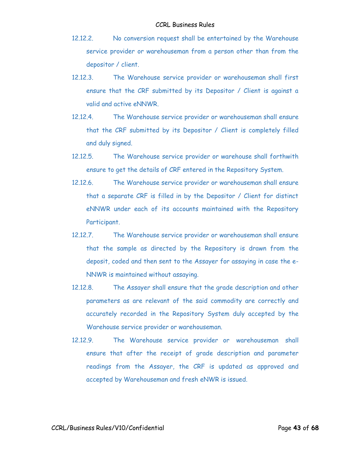- 12.12.2. No conversion request shall be entertained by the Warehouse service provider or warehouseman from a person other than from the depositor / client.
- 12.12.3. The Warehouse service provider or warehouseman shall first ensure that the CRF submitted by its Depositor / Client is against a valid and active eNNWR.
- 12.12.4. The Warehouse service provider or warehouseman shall ensure that the CRF submitted by its Depositor / Client is completely filled and duly signed.
- 12.12.5. The Warehouse service provider or warehouse shall forthwith ensure to get the details of CRF entered in the Repository System.
- 12.12.6. The Warehouse service provider or warehouseman shall ensure that a separate CRF is filled in by the Depositor / Client for distinct eNNWR under each of its accounts maintained with the Repository Participant.
- 12.12.7. The Warehouse service provider or warehouseman shall ensure that the sample as directed by the Repository is drawn from the deposit, coded and then sent to the Assayer for assaying in case the e-NNWR is maintained without assaying.
- 12.12.8. The Assayer shall ensure that the grade description and other parameters as are relevant of the said commodity are correctly and accurately recorded in the Repository System duly accepted by the Warehouse service provider or warehouseman.
- 12.12.9. The Warehouse service provider or warehouseman shall ensure that after the receipt of grade description and parameter readings from the Assayer, the CRF is updated as approved and accepted by Warehouseman and fresh eNWR is issued.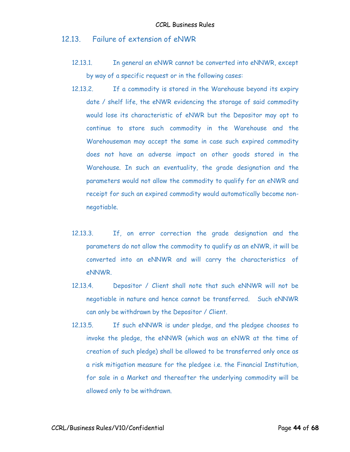## 12.13. Failure of extension of eNWR

- 12.13.1. In general an eNWR cannot be converted into eNNWR, except by way of a specific request or in the following cases:
- 12.13.2. If a commodity is stored in the Warehouse beyond its expiry date / shelf life, the eNWR evidencing the storage of said commodity would lose its characteristic of eNWR but the Depositor may opt to continue to store such commodity in the Warehouse and the Warehouseman may accept the same in case such expired commodity does not have an adverse impact on other goods stored in the Warehouse. In such an eventuality, the grade designation and the parameters would not allow the commodity to qualify for an eNWR and receipt for such an expired commodity would automatically become nonnegotiable.
- 12.13.3. If, on error correction the grade designation and the parameters do not allow the commodity to qualify as an eNWR, it will be converted into an eNNWR and will carry the characteristics of eNNWR.
- 12.13.4. Depositor / Client shall note that such eNNWR will not be negotiable in nature and hence cannot be transferred. Such eNNWR can only be withdrawn by the Depositor / Client.
- 12.13.5. If such eNNWR is under pledge, and the pledgee chooses to invoke the pledge, the eNNWR (which was an eNWR at the time of creation of such pledge) shall be allowed to be transferred only once as a risk mitigation measure for the pledgee i.e. the Financial Institution, for sale in a Market and thereafter the underlying commodity will be allowed only to be withdrawn.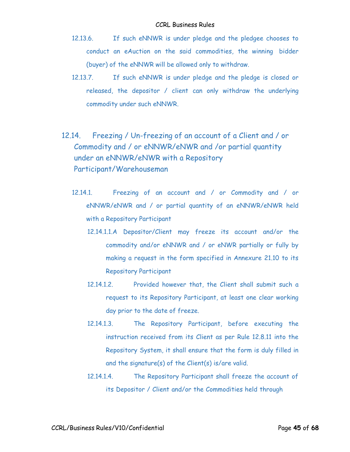- 12.13.6. If such eNNWR is under pledge and the pledgee chooses to conduct an eAuction on the said commodities, the winning bidder (buyer) of the eNNWR will be allowed only to withdraw.
- 12.13.7. If such eNNWR is under pledge and the pledge is closed or released, the depositor / client can only withdraw the underlying commodity under such eNNWR.
- 12.14. Freezing / Un-freezing of an account of a Client and / or Commodity and / or eNNWR/eNWR and /or partial quantity under an eNNWR/eNWR with a Repository Participant/Warehouseman
	- 12.14.1. Freezing of an account and / or Commodity and / or eNNWR/eNWR and / or partial quantity of an eNNWR/eNWR held with a Repository Participant
		- 12.14.1.1.A Depositor/Client may freeze its account and/or the commodity and/or eNNWR and / or eNWR partially or fully by making a request in the form specified in Annexure 21.10 to its Repository Participant
		- 12.14.1.2. Provided however that, the Client shall submit such a request to its Repository Participant, at least one clear working day prior to the date of freeze.
		- 12.14.1.3. The Repository Participant, before executing the instruction received from its Client as per Rule 12.8.11 into the Repository System, it shall ensure that the form is duly filled in and the signature(s) of the Client(s) is/are valid.
		- 12.14.1.4. The Repository Participant shall freeze the account of its Depositor / Client and/or the Commodities held through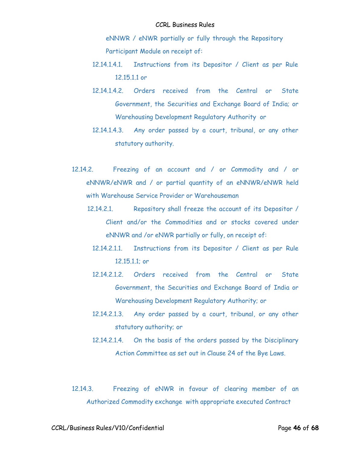eNNWR / eNWR partially or fully through the Repository Participant Module on receipt of:

- 12.14.1.4.1. Instructions from its Depositor / Client as per Rule 12.15.1.1 or
- 12.14.1.4.2. Orders received from the Central or State Government, the Securities and Exchange Board of India; or Warehousing Development Regulatory Authority or
- 12.14.1.4.3. Any order passed by a court, tribunal, or any other statutory authority.
- 12.14.2. Freezing of an account and / or Commodity and / or eNNWR/eNWR and / or partial quantity of an eNNWR/eNWR held with Warehouse Service Provider or Warehouseman
	- 12.14.2.1. Repository shall freeze the account of its Depositor / Client and/or the Commodities and or stocks covered under eNNWR and /or eNWR partially or fully, on receipt of:
		- 12.14.2.1.1. Instructions from its Depositor / Client as per Rule 12.15.1.1; or
		- 12.14.2.1.2. Orders received from the Central or State Government, the Securities and Exchange Board of India or Warehousing Development Regulatory Authority; or
		- 12.14.2.1.3. Any order passed by a court, tribunal, or any other statutory authority; or
		- 12.14.2.1.4. On the basis of the orders passed by the Disciplinary Action Committee as set out in Clause 24 of the Bye Laws.

12.14.3. Freezing of eNWR in favour of clearing member of an Authorized Commodity exchange with appropriate executed Contract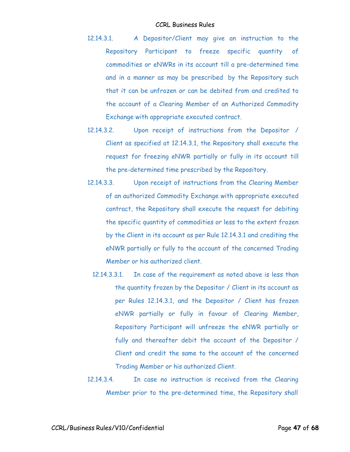- 12.14.3.1. A Depositor/Client may give an instruction to the Repository Participant to freeze specific quantity of commodities or eNWRs in its account till a pre-determined time and in a manner as may be prescribed by the Repository such that it can be unfrozen or can be debited from and credited to the account of a Clearing Member of an Authorized Commodity Exchange with appropriate executed contract.
- 12.14.3.2. Upon receipt of instructions from the Depositor / Client as specified at 12.14.3.1, the Repository shall execute the request for freezing eNWR partially or fully in its account till the pre-determined time prescribed by the Repository.
- 12.14.3.3. Upon receipt of instructions from the Clearing Member of an authorized Commodity Exchange with appropriate executed contract, the Repository shall execute the request for debiting the specific quantity of commodities or less to the extent frozen by the Client in its account as per Rule 12.14.3.1 and crediting the eNWR partially or fully to the account of the concerned Trading Member or his authorized client.
	- 12.14.3.3.1. In case of the requirement as noted above is less than the quantity frozen by the Depositor / Client in its account as per Rules 12.14.3.1, and the Depositor / Client has frozen eNWR partially or fully in favour of Clearing Member, Repository Participant will unfreeze the eNWR partially or fully and thereafter debit the account of the Depositor / Client and credit the same to the account of the concerned Trading Member or his authorized Client.
- 12.14.3.4. In case no instruction is received from the Clearing Member prior to the pre-determined time, the Repository shall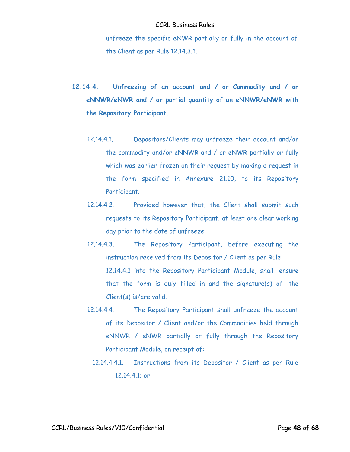unfreeze the specific eNWR partially or fully in the account of the Client as per Rule 12.14.3.1.

- **12.14.4. Unfreezing of an account and / or Commodity and / or eNNWR/eNWR and / or partial quantity of an eNNWR/eNWR with the Repository Participant.**
	- 12.14.4.1. Depositors/Clients may unfreeze their account and/or the commodity and/or eNNWR and / or eNWR partially or fully which was earlier frozen on their request by making a request in the form specified in Annexure 21.10, to its Repository Participant.
	- 12.14.4.2. Provided however that, the Client shall submit such requests to its Repository Participant, at least one clear working day prior to the date of unfreeze.
	- 12.14.4.3. The Repository Participant, before executing the instruction received from its Depositor / Client as per Rule 12.14.4.1 into the Repository Participant Module, shall ensure that the form is duly filled in and the signature(s) of the Client(s) is/are valid.
	- 12.14.4.4. The Repository Participant shall unfreeze the account of its Depositor / Client and/or the Commodities held through eNNWR / eNWR partially or fully through the Repository Participant Module, on receipt of:
		- 12.14.4.4.1. Instructions from its Depositor / Client as per Rule 12.14.4.1; or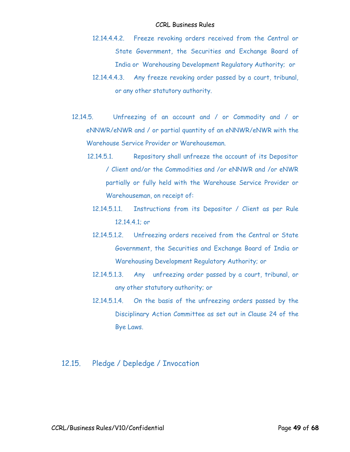- 12.14.4.4.2. Freeze revoking orders received from the Central or State Government, the Securities and Exchange Board of India or Warehousing Development Regulatory Authority; or
- 12.14.4.4.3. Any freeze revoking order passed by a court, tribunal, or any other statutory authority.
- 12.14.5. Unfreezing of an account and / or Commodity and / or eNNWR/eNWR and / or partial quantity of an eNNWR/eNWR with the Warehouse Service Provider or Warehouseman.
	- 12.14.5.1. Repository shall unfreeze the account of its Depositor / Client and/or the Commodities and /or eNNWR and /or eNWR partially or fully held with the Warehouse Service Provider or Warehouseman, on receipt of:
		- 12.14.5.1.1. Instructions from its Depositor / Client as per Rule 12.14.4.1; or
		- 12.14.5.1.2. Unfreezing orders received from the Central or State Government, the Securities and Exchange Board of India or Warehousing Development Regulatory Authority; or
		- 12.14.5.1.3. Any unfreezing order passed by a court, tribunal, or any other statutory authority; or
		- 12.14.5.1.4. On the basis of the unfreezing orders passed by the Disciplinary Action Committee as set out in Clause 24 of the Bye Laws.

## 12.15. Pledge / Depledge / Invocation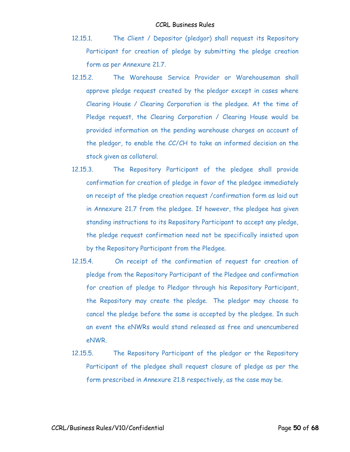- 12.15.1. The Client / Depositor (pledgor) shall request its Repository Participant for creation of pledge by submitting the pledge creation form as per Annexure 21.7.
- 12.15.2. The Warehouse Service Provider or Warehouseman shall approve pledge request created by the pledgor except in cases where Clearing House / Clearing Corporation is the pledgee. At the time of Pledge request, the Clearing Corporation / Clearing House would be provided information on the pending warehouse charges on account of the pledgor, to enable the CC/CH to take an informed decision on the stock given as collateral.
- 12.15.3. The Repository Participant of the pledgee shall provide confirmation for creation of pledge in favor of the pledgee immediately on receipt of the pledge creation request /confirmation form as laid out in Annexure 21.7 from the pledgee. If however, the pledgee has given standing instructions to its Repository Participant to accept any pledge, the pledge request confirmation need not be specifically insisted upon by the Repository Participant from the Pledgee.
- 12.15.4. On receipt of the confirmation of request for creation of pledge from the Repository Participant of the Pledgee and confirmation for creation of pledge to Pledgor through his Repository Participant, the Repository may create the pledge. The pledgor may choose to cancel the pledge before the same is accepted by the pledgee. In such an event the eNWRs would stand released as free and unencumbered eNWR.
- 12.15.5. The Repository Participant of the pledgor or the Repository Participant of the pledgee shall request closure of pledge as per the form prescribed in Annexure 21.8 respectively, as the case may be.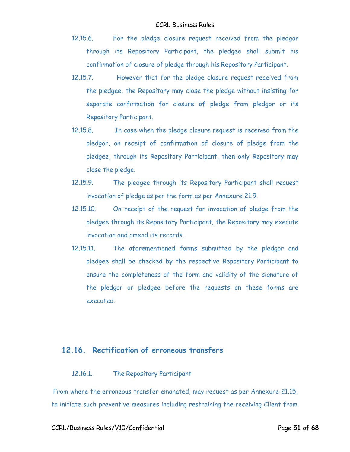- 12.15.6. For the pledge closure request received from the pledgor through its Repository Participant, the pledgee shall submit his confirmation of closure of pledge through his Repository Participant.
- 12.15.7. However that for the pledge closure request received from the pledgee, the Repository may close the pledge without insisting for separate confirmation for closure of pledge from pledgor or its Repository Participant.
- 12.15.8. In case when the pledge closure request is received from the pledgor, on receipt of confirmation of closure of pledge from the pledgee, through its Repository Participant, then only Repository may close the pledge.
- 12.15.9. The pledgee through its Repository Participant shall request invocation of pledge as per the form as per Annexure 21.9.
- 12.15.10. On receipt of the request for invocation of pledge from the pledgee through its Repository Participant, the Repository may execute invocation and amend its records.
- 12.15.11. The aforementioned forms submitted by the pledgor and pledgee shall be checked by the respective Repository Participant to ensure the completeness of the form and validity of the signature of the pledgor or pledgee before the requests on these forms are executed.

## **12.16. Rectification of erroneous transfers**

### 12.16.1. The Repository Participant

From where the erroneous transfer emanated, may request as per Annexure 21.15, to initiate such preventive measures including restraining the receiving Client from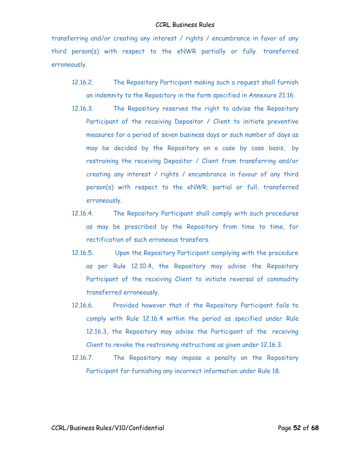transferring and/or creating any interest / rights / encumbrance in favor of any third person(s) with respect to the eNWR partially or fully transferred erroneously.

- 12.16.2. The Repository Participant making such a request shall furnish an indemnity to the Repository in the form specified in Annexure 21.16.
- 12.16.3. The Repository reserves the right to advise the Repository Participant of the receiving Depositor / Client to initiate preventive measures for a period of seven business days or such number of days as may be decided by the Repository on a case by case basis, by restraining the receiving Depositor / Client from transferring and/or creating any interest / rights / encumbrance in favour of any third person(s) with respect to the eNWR; partial or full, transferred erroneously.
- 12.16.4. The Repository Participant shall comply with such procedures as may be prescribed by the Repository from time to time, for rectification of such erroneous transfers.
- 12.16.5. Upon the Repository Participant complying with the procedure as per Rule 12.10.4, the Repository may advise the Repository Participant of the receiving Client to initiate reversal of commodity transferred erroneously.
- 12.16.6. Provided however that if the Repository Participant fails to comply with Rule 12.16.4 within the period as specified under Rule 12.16.3, the Repository may advise the Participant of the receiving Client to revoke the restraining instructions as given under 12.16.3.
- 12.16.7. The Repository may impose a penalty on the Repository Participant for furnishing any incorrect information under Rule 18.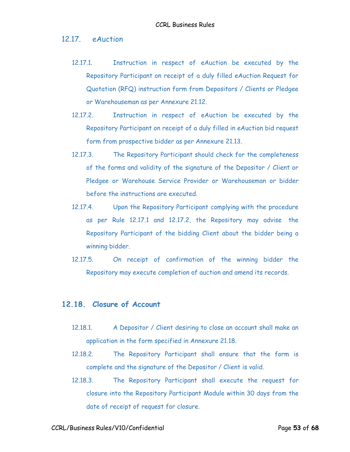### 12.17. eAuction

- 12.17.1. Instruction in respect of eAuction be executed by the Repository Participant on receipt of a duly filled eAuction Request for Quotation (RFQ) instruction form from Depositors / Clients or Pledgee or Warehouseman as per Annexure 21.12.
- 12.17.2. Instruction in respect of eAuction be executed by the Repository Participant on receipt of a duly filled in eAuction bid request form from prospective bidder as per Annexure 21.13.
- 12.17.3. The Repository Participant should check for the completeness of the forms and validity of the signature of the Depositor / Client or Pledgee or Warehouse Service Provider or Warehouseman or bidder before the instructions are executed.
- 12.17.4. Upon the Repository Participant complying with the procedure as per Rule 12.17.1 and 12.17.2, the Repository may advise the Repository Participant of the bidding Client about the bidder being a winning bidder.
- 12.17.5. On receipt of confirmation of the winning bidder the Repository may execute completion of auction and amend its records.

### **12.18. Closure of Account**

- 12.18.1. A Depositor / Client desiring to close an account shall make an application in the form specified in Annexure 21.18.
- 12.18.2. The Repository Participant shall ensure that the form is complete and the signature of the Depositor / Client is valid.
- 12.18.3. The Repository Participant shall execute the request for closure into the Repository Participant Module within 30 days from the date of receipt of request for closure.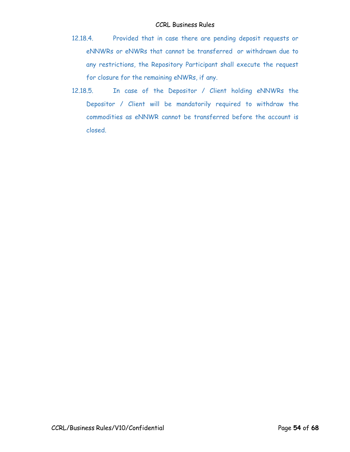- 12.18.4. Provided that in case there are pending deposit requests or eNNWRs or eNWRs that cannot be transferred or withdrawn due to any restrictions, the Repository Participant shall execute the request for closure for the remaining eNWRs, if any.
- 12.18.5. In case of the Depositor / Client holding eNNWRs the Depositor / Client will be mandatorily required to withdraw the commodities as eNNWR cannot be transferred before the account is closed.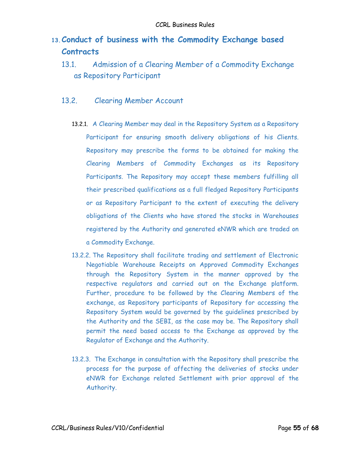# **13.Conduct of business with the Commodity Exchange based Contracts**

- 13.1. Admission of a Clearing Member of a Commodity Exchange as Repository Participant
- 13.2. Clearing Member Account
	- 13.2.1. A Clearing Member may deal in the Repository System as a Repository Participant for ensuring smooth delivery obligations of his Clients. Repository may prescribe the forms to be obtained for making the Clearing Members of Commodity Exchanges as its Repository Participants. The Repository may accept these members fulfilling all their prescribed qualifications as a full fledged Repository Participants or as Repository Participant to the extent of executing the delivery obligations of the Clients who have stored the stocks in Warehouses registered by the Authority and generated eNWR which are traded on a Commodity Exchange.
	- 13.2.2. The Repository shall facilitate trading and settlement of Electronic Negotiable Warehouse Receipts on Approved Commodity Exchanges through the Repository System in the manner approved by the respective regulators and carried out on the Exchange platform. Further, procedure to be followed by the Clearing Members of the exchange, as Repository participants of Repository for accessing the Repository System would be governed by the guidelines prescribed by the Authority and the SEBI, as the case may be. The Repository shall permit the need based access to the Exchange as approved by the Regulator of Exchange and the Authority.
	- 13.2.3. The Exchange in consultation with the Repository shall prescribe the process for the purpose of affecting the deliveries of stocks under eNWR for Exchange related Settlement with prior approval of the Authority.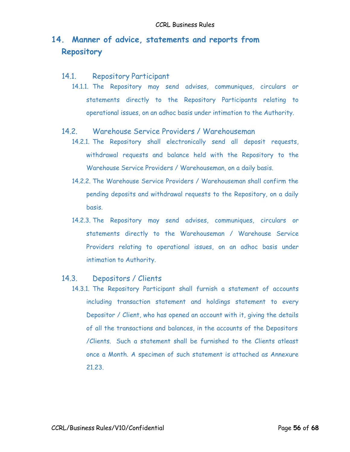# **14. Manner of advice, statements and reports from Repository**

### 14.1. Repository Participant

14.1.1. The Repository may send advises, communiques, circulars or statements directly to the Repository Participants relating to operational issues, on an adhoc basis under intimation to the Authority.

### 14.2. Warehouse Service Providers / Warehouseman

- 14.2.1. The Repository shall electronically send all deposit requests, withdrawal requests and balance held with the Repository to the Warehouse Service Providers / Warehouseman, on a daily basis.
- 14.2.2. The Warehouse Service Providers / Warehouseman shall confirm the pending deposits and withdrawal requests to the Repository, on a daily basis.
- 14.2.3. The Repository may send advises, communiques, circulars or statements directly to the Warehouseman / Warehouse Service Providers relating to operational issues, on an adhoc basis under intimation to Authority.

## 14.3. Depositors / Clients

14.3.1. The Repository Participant shall furnish a statement of accounts including transaction statement and holdings statement to every Depositor / Client, who has opened an account with it, giving the details of all the transactions and balances, in the accounts of the Depositors /Clients. Such a statement shall be furnished to the Clients atleast once a Month. A specimen of such statement is attached as Annexure 21.23.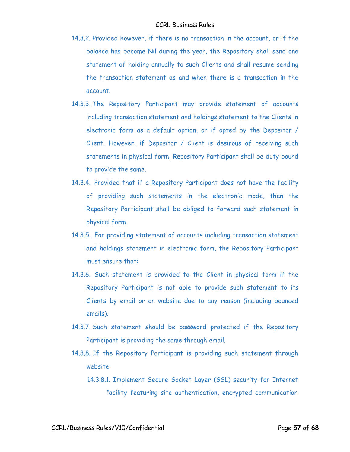- 14.3.2. Provided however, if there is no transaction in the account, or if the balance has become Nil during the year, the Repository shall send one statement of holding annually to such Clients and shall resume sending the transaction statement as and when there is a transaction in the account.
- 14.3.3. The Repository Participant may provide statement of accounts including transaction statement and holdings statement to the Clients in electronic form as a default option, or if opted by the Depositor / Client. However, if Depositor / Client is desirous of receiving such statements in physical form, Repository Participant shall be duty bound to provide the same.
- 14.3.4. Provided that if a Repository Participant does not have the facility of providing such statements in the electronic mode, then the Repository Participant shall be obliged to forward such statement in physical form.
- 14.3.5. For providing statement of accounts including transaction statement and holdings statement in electronic form, the Repository Participant must ensure that:
- 14.3.6. Such statement is provided to the Client in physical form if the Repository Participant is not able to provide such statement to its Clients by email or on website due to any reason (including bounced emails).
- 14.3.7. Such statement should be password protected if the Repository Participant is providing the same through email.
- 14.3.8. If the Repository Participant is providing such statement through website:
	- 14.3.8.1. Implement Secure Socket Layer (SSL) security for Internet facility featuring site authentication, encrypted communication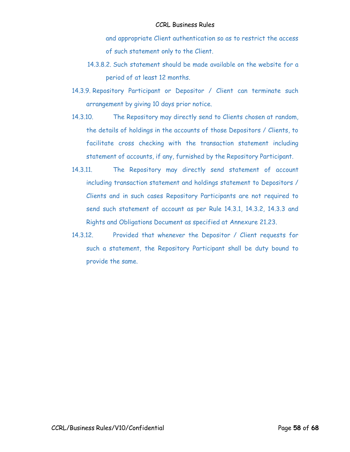and appropriate Client authentication so as to restrict the access of such statement only to the Client.

- 14.3.8.2. Such statement should be made available on the website for a period of at least 12 months.
- 14.3.9. Repository Participant or Depositor / Client can terminate such arrangement by giving 10 days prior notice.
- 14.3.10. The Repository may directly send to Clients chosen at random, the details of holdings in the accounts of those Depositors / Clients, to facilitate cross checking with the transaction statement including statement of accounts, if any, furnished by the Repository Participant.
- 14.3.11. The Repository may directly send statement of account including transaction statement and holdings statement to Depositors / Clients and in such cases Repository Participants are not required to send such statement of account as per Rule 14.3.1, 14.3.2, 14.3.3 and Rights and Obligations Document as specified at Annexure 21.23.
- 14.3.12. Provided that whenever the Depositor / Client requests for such a statement, the Repository Participant shall be duty bound to provide the same.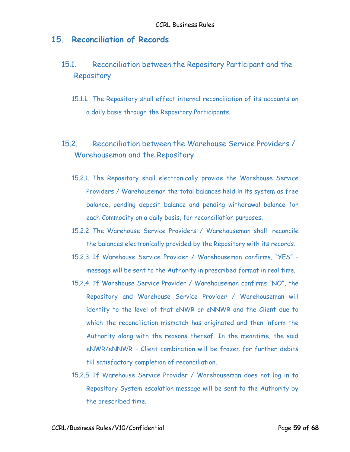## **15. Reconciliation of Records**

- 15.1. Reconciliation between the Repository Participant and the Repository
	- 15.1.1. The Repository shall effect internal reconciliation of its accounts on a daily basis through the Repository Participants.

# 15.2. Reconciliation between the Warehouse Service Providers / Warehouseman and the Repository

- 15.2.1. The Repository shall electronically provide the Warehouse Service Providers / Warehouseman the total balances held in its system as free balance, pending deposit balance and pending withdrawal balance for each Commodity on a daily basis, for reconciliation purposes.
- 15.2.2. The Warehouse Service Providers / Warehouseman shall reconcile the balances electronically provided by the Repository with its records.
- 15.2.3. If Warehouse Service Provider / Warehouseman confirms, "YES" message will be sent to the Authority in prescribed format in real time.
- 15.2.4. If Warehouse Service Provider / Warehouseman confirms "NO", the Repository and Warehouse Service Provider / Warehouseman will identify to the level of that eNWR or eNNWR and the Client due to which the reconciliation mismatch has originated and then inform the Authority along with the reasons thereof. In the meantime, the said eNWR/eNNWR – Client combination will be frozen for further debits till satisfactory completion of reconciliation.
- 15.2.5. If Warehouse Service Provider / Warehouseman does not log in to Repository System escalation message will be sent to the Authority by the prescribed time.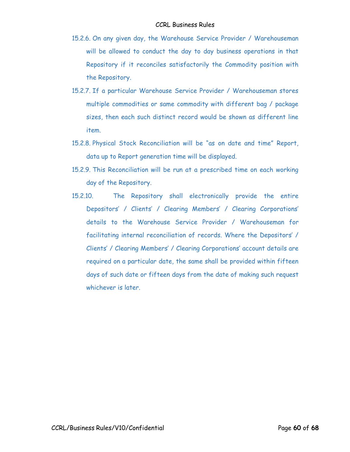- 15.2.6. On any given day, the Warehouse Service Provider / Warehouseman will be allowed to conduct the day to day business operations in that Repository if it reconciles satisfactorily the Commodity position with the Repository.
- 15.2.7. If a particular Warehouse Service Provider / Warehouseman stores multiple commodities or same commodity with different bag / package sizes, then each such distinct record would be shown as different line item.
- 15.2.8. Physical Stock Reconciliation will be "as on date and time" Report, data up to Report generation time will be displayed.
- 15.2.9. This Reconciliation will be run at a prescribed time on each working day of the Repository.
- 15.2.10. The Repository shall electronically provide the entire Depositors' / Clients' / Clearing Members' / Clearing Corporations' details to the Warehouse Service Provider / Warehouseman for facilitating internal reconciliation of records. Where the Depositors' / Clients' / Clearing Members' / Clearing Corporations' account details are required on a particular date, the same shall be provided within fifteen days of such date or fifteen days from the date of making such request whichever is later.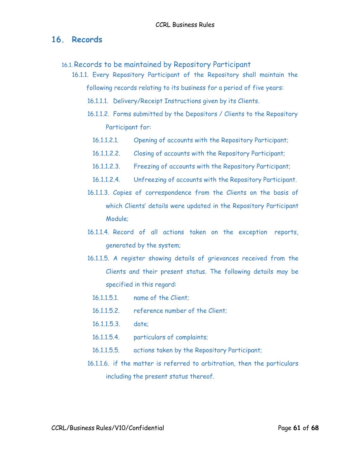# **16. Records**

- 16.1. Records to be maintained by Repository Participant
	- 16.1.1. Every Repository Participant of the Repository shall maintain the following records relating to its business for a period of five years:
		- 16.1.1.1. Delivery/Receipt Instructions given by its Clients.
		- 16.1.1.2. Forms submitted by the Depositors / Clients to the Repository Participant for:
			- 16.1.1.2.1. Opening of accounts with the Repository Participant;
			- 16.1.1.2.2. Closing of accounts with the Repository Participant;
			- 16.1.1.2.3. Freezing of accounts with the Repository Participant;
			- 16.1.1.2.4. Unfreezing of accounts with the Repository Participant.
		- 16.1.1.3. Copies of correspondence from the Clients on the basis of which Clients' details were updated in the Repository Participant Module;
		- 16.1.1.4. Record of all actions taken on the exception reports, generated by the system;
		- 16.1.1.5. A register showing details of grievances received from the Clients and their present status. The following details may be specified in this regard:
			- 16.1.1.5.1. name of the Client;
			- 16.1.1.5.2. reference number of the Client;
			- 16.1.1.5.3. date;
			- 16.1.1.5.4. particulars of complaints;
			- 16.1.1.5.5. actions taken by the Repository Participant;
		- 16.1.1.6. if the matter is referred to arbitration, then the particulars including the present status thereof.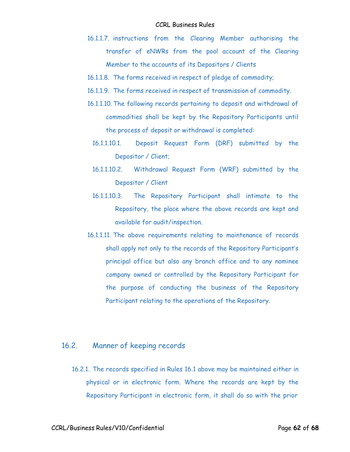- 16.1.1.7. instructions from the Clearing Member authorising the transfer of eNWRs from the pool account of the Clearing Member to the accounts of its Depositors / Clients
- 16.1.1.8. The forms received in respect of pledge of commodity;
- 16.1.1.9. The forms received in respect of transmission of commodity.
- 16.1.1.10.The following records pertaining to deposit and withdrawal of commodities shall be kept by the Repository Participants until the process of deposit or withdrawal is completed:
	- 16.1.1.10.1. Deposit Request Form (DRF) submitted by the Depositor / Client;
	- 16.1.1.10.2. Withdrawal Request Form (WRF) submitted by the Depositor / Client
	- 16.1.1.10.3. The Repository Participant shall intimate to the Repository, the place where the above records are kept and available for audit/inspection.
- 16.1.1.11. The above requirements relating to maintenance of records shall apply not only to the records of the Repository Participant's principal office but also any branch office and to any nominee company owned or controlled by the Repository Participant for the purpose of conducting the business of the Repository Participant relating to the operations of the Repository.

## 16.2. Manner of keeping records

16.2.1. The records specified in Rules 16.1 above may be maintained either in physical or in electronic form. Where the records are kept by the Repository Participant in electronic form, it shall do so with the prior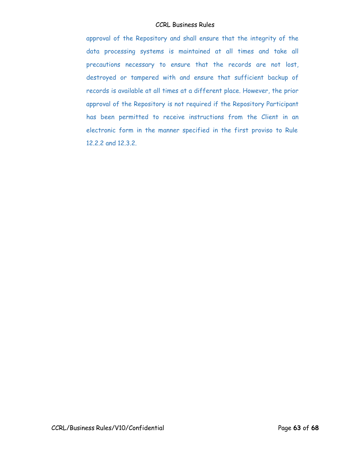approval of the Repository and shall ensure that the integrity of the data processing systems is maintained at all times and take all precautions necessary to ensure that the records are not lost, destroyed or tampered with and ensure that sufficient backup of records is available at all times at a different place. However, the prior approval of the Repository is not required if the Repository Participant has been permitted to receive instructions from the Client in an electronic form in the manner specified in the first proviso to Rule 12.2.2 and 12.3.2.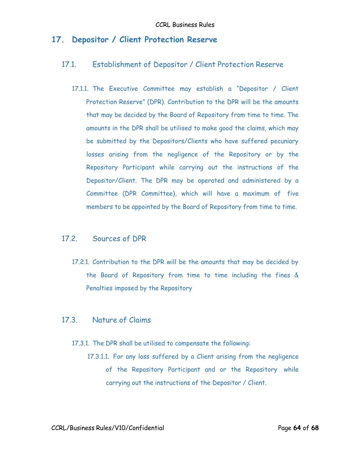## **17. Depositor / Client Protection Reserve**

## 17.1. Establishment of Depositor / Client Protection Reserve

17.1.1. The Executive Committee may establish a "Depositor / Client Protection Reserve" (DPR). Contribution to the DPR will be the amounts that may be decided by the Board of Repository from time to time. The amounts in the DPR shall be utilised to make good the claims, which may be submitted by the Depositors/Clients who have suffered pecuniary losses arising from the negligence of the Repository or by the Repository Participant while carrying out the instructions of the Depositor/Client. The DPR may be operated and administered by a Committee (DPR Committee), which will have a maximum of five members to be appointed by the Board of Repository from time to time.

## 17.2. Sources of DPR

17.2.1. Contribution to the DPR will be the amounts that may be decided by the Board of Repository from time to time including the fines & Penalties imposed by the Repository

## 17.3. Nature of Claims

- 17.3.1. The DPR shall be utilised to compensate the following:
	- 17.3.1.1. For any loss suffered by a Client arising from the negligence of the Repository Participant and or the Repository while carrying out the instructions of the Depositor / Client.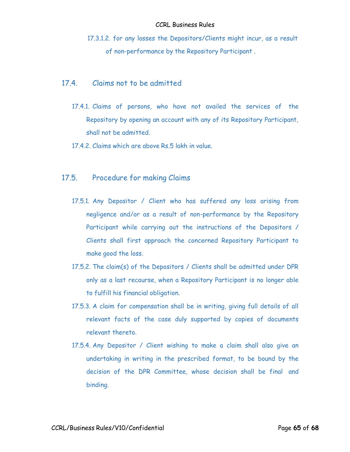17.3.1.2. for any losses the Depositors/Clients might incur, as a result of non-performance by the Repository Participant .

### 17.4. Claims not to be admitted

- 17.4.1. Claims of persons, who have not availed the services of the Repository by opening an account with any of its Repository Participant, shall not be admitted.
- 17.4.2. Claims which are above Rs.5 lakh in value.

## 17.5. Procedure for making Claims

- 17.5.1. Any Depositor / Client who has suffered any loss arising from negligence and/or as a result of non-performance by the Repository Participant while carrying out the instructions of the Depositors / Clients shall first approach the concerned Repository Participant to make good the loss.
- 17.5.2. The claim(s) of the Depositors / Clients shall be admitted under DPR only as a last recourse, when a Repository Participant is no longer able to fulfill his financial obligation.
- 17.5.3. A claim for compensation shall be in writing, giving full details of all relevant facts of the case duly supported by copies of documents relevant thereto.
- 17.5.4. Any Depositor / Client wishing to make a claim shall also give an undertaking in writing in the prescribed format, to be bound by the decision of the DPR Committee, whose decision shall be final and binding.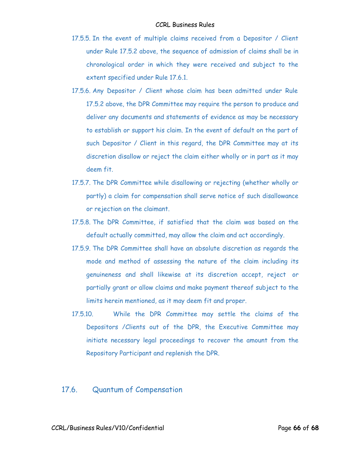- 17.5.5. In the event of multiple claims received from a Depositor / Client under Rule 17.5.2 above, the sequence of admission of claims shall be in chronological order in which they were received and subject to the extent specified under Rule 17.6.1.
- 17.5.6. Any Depositor / Client whose claim has been admitted under Rule 17.5.2 above, the DPR Committee may require the person to produce and deliver any documents and statements of evidence as may be necessary to establish or support his claim. In the event of default on the part of such Depositor / Client in this regard, the DPR Committee may at its discretion disallow or reject the claim either wholly or in part as it may deem fit.
- 17.5.7. The DPR Committee while disallowing or rejecting (whether wholly or partly) a claim for compensation shall serve notice of such disallowance or rejection on the claimant.
- 17.5.8. The DPR Committee, if satisfied that the claim was based on the default actually committed, may allow the claim and act accordingly.
- 17.5.9. The DPR Committee shall have an absolute discretion as regards the mode and method of assessing the nature of the claim including its genuineness and shall likewise at its discretion accept, reject or partially grant or allow claims and make payment thereof subject to the limits herein mentioned, as it may deem fit and proper.
- 17.5.10. While the DPR Committee may settle the claims of the Depositors /Clients out of the DPR, the Executive Committee may initiate necessary legal proceedings to recover the amount from the Repository Participant and replenish the DPR.

## 17.6. Quantum of Compensation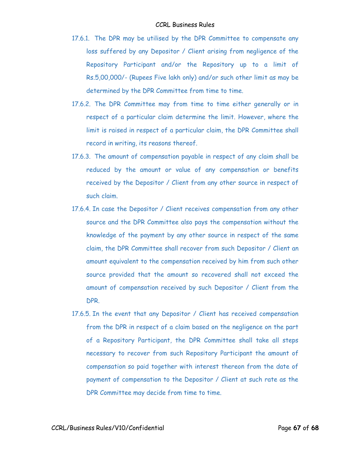- 17.6.1. The DPR may be utilised by the DPR Committee to compensate any loss suffered by any Depositor / Client arising from negligence of the Repository Participant and/or the Repository up to a limit of Rs.5,00,000/- (Rupees Five lakh only) and/or such other limit as may be determined by the DPR Committee from time to time.
- 17.6.2. The DPR Committee may from time to time either generally or in respect of a particular claim determine the limit. However, where the limit is raised in respect of a particular claim, the DPR Committee shall record in writing, its reasons thereof.
- 17.6.3. The amount of compensation payable in respect of any claim shall be reduced by the amount or value of any compensation or benefits received by the Depositor / Client from any other source in respect of such claim.
- 17.6.4. In case the Depositor / Client receives compensation from any other source and the DPR Committee also pays the compensation without the knowledge of the payment by any other source in respect of the same claim, the DPR Committee shall recover from such Depositor / Client an amount equivalent to the compensation received by him from such other source provided that the amount so recovered shall not exceed the amount of compensation received by such Depositor / Client from the DPR.
- 17.6.5. In the event that any Depositor / Client has received compensation from the DPR in respect of a claim based on the negligence on the part of a Repository Participant, the DPR Committee shall take all steps necessary to recover from such Repository Participant the amount of compensation so paid together with interest thereon from the date of payment of compensation to the Depositor / Client at such rate as the DPR Committee may decide from time to time.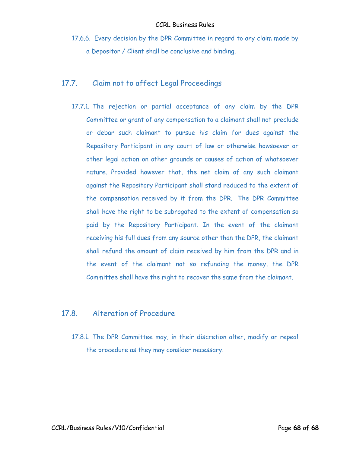17.6.6. Every decision by the DPR Committee in regard to any claim made by a Depositor / Client shall be conclusive and binding.

## 17.7. Claim not to affect Legal Proceedings

17.7.1. The rejection or partial acceptance of any claim by the DPR Committee or grant of any compensation to a claimant shall not preclude or debar such claimant to pursue his claim for dues against the Repository Participant in any court of law or otherwise howsoever or other legal action on other grounds or causes of action of whatsoever nature. Provided however that, the net claim of any such claimant against the Repository Participant shall stand reduced to the extent of the compensation received by it from the DPR. The DPR Committee shall have the right to be subrogated to the extent of compensation so paid by the Repository Participant. In the event of the claimant receiving his full dues from any source other than the DPR, the claimant shall refund the amount of claim received by him from the DPR and in the event of the claimant not so refunding the money, the DPR Committee shall have the right to recover the same from the claimant.

## 17.8. Alteration of Procedure

17.8.1. The DPR Committee may, in their discretion alter, modify or repeal the procedure as they may consider necessary.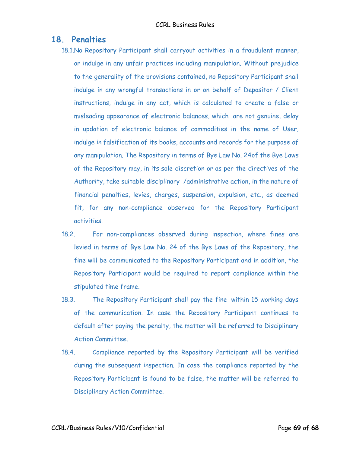## **18. Penalties**

- 18.1.No Repository Participant shall carryout activities in a fraudulent manner, or indulge in any unfair practices including manipulation. Without prejudice to the generality of the provisions contained, no Repository Participant shall indulge in any wrongful transactions in or on behalf of Depositor / Client instructions, indulge in any act, which is calculated to create a false or misleading appearance of electronic balances, which are not genuine, delay in updation of electronic balance of commodities in the name of User, indulge in falsification of its books, accounts and records for the purpose of any manipulation. The Repository in terms of Bye Law No. 24of the Bye Laws of the Repository may, in its sole discretion or as per the directives of the Authority, take suitable disciplinary /administrative action, in the nature of financial penalties, levies, charges, suspension, expulsion, etc., as deemed fit, for any non-compliance observed for the Repository Participant activities.
- 18.2. For non-compliances observed during inspection, where fines are levied in terms of Bye Law No. 24 of the Bye Laws of the Repository, the fine will be communicated to the Repository Participant and in addition, the Repository Participant would be required to report compliance within the stipulated time frame.
- 18.3. The Repository Participant shall pay the fine within 15 working days of the communication. In case the Repository Participant continues to default after paying the penalty, the matter will be referred to Disciplinary Action Committee.
- 18.4. Compliance reported by the Repository Participant will be verified during the subsequent inspection. In case the compliance reported by the Repository Participant is found to be false, the matter will be referred to Disciplinary Action Committee.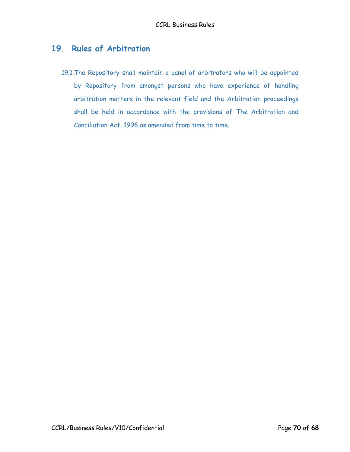# **19. Rules of Arbitration**

19.1.The Repository shall maintain a panel of arbitrators who will be appointed by Repository from amongst persons who have experience of handling arbitration matters in the relevant field and the Arbitration proceedings shall be held in accordance with the provisions of The Arbitration and Conciliation Act, 1996 as amended from time to time.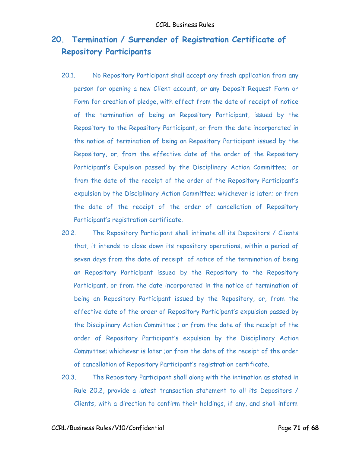# **20. Termination / Surrender of Registration Certificate of Repository Participants**

- 20.1. No Repository Participant shall accept any fresh application from any person for opening a new Client account, or any Deposit Request Form or Form for creation of pledge, with effect from the date of receipt of notice of the termination of being an Repository Participant, issued by the Repository to the Repository Participant, or from the date incorporated in the notice of termination of being an Repository Participant issued by the Repository, or, from the effective date of the order of the Repository Participant's Expulsion passed by the Disciplinary Action Committee; or from the date of the receipt of the order of the Repository Participant's expulsion by the Disciplinary Action Committee; whichever is later; or from the date of the receipt of the order of cancellation of Repository Participant's registration certificate.
- 20.2. The Repository Participant shall intimate all its Depositors / Clients that, it intends to close down its repository operations, within a period of seven days from the date of receipt of notice of the termination of being an Repository Participant issued by the Repository to the Repository Participant, or from the date incorporated in the notice of termination of being an Repository Participant issued by the Repository, or, from the effective date of the order of Repository Participant's expulsion passed by the Disciplinary Action Committee ; or from the date of the receipt of the order of Repository Participant's expulsion by the Disciplinary Action Committee; whichever is later ;or from the date of the receipt of the order of cancellation of Repository Participant's registration certificate.
- 20.3. The Repository Participant shall along with the intimation as stated in Rule 20.2, provide a latest transaction statement to all its Depositors / Clients, with a direction to confirm their holdings, if any, and shall inform